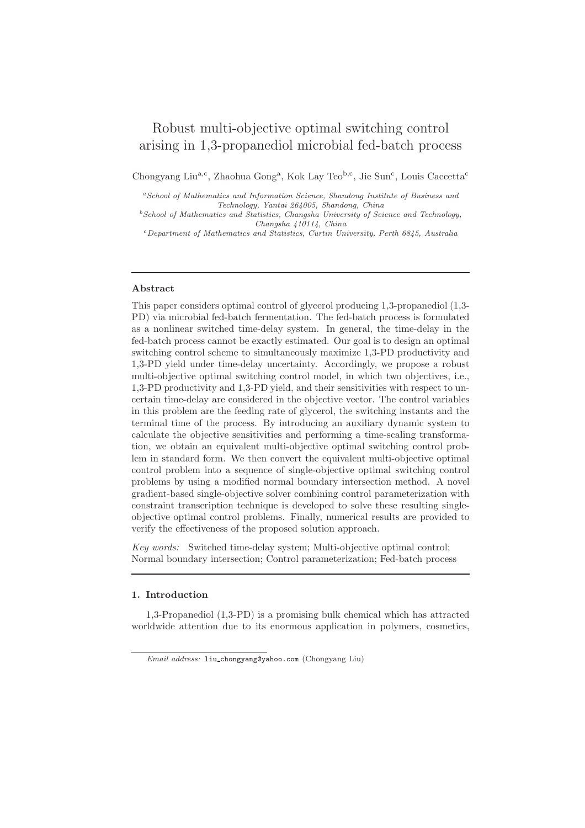# Robust multi-objective optimal switching control arising in 1,3-propanediol microbial fed-batch process

Chongyang Liu<sup>a,c</sup>, Zhaohua Gong<sup>a</sup>, Kok Lay Teo<sup>b,c</sup>, Jie Sun<sup>c</sup>, Louis Caccetta<sup>c</sup>

<sup>a</sup>School of Mathematics and Information Science, Shandong Institute of Business and Technology, Yantai 264005, Shandong, China

 $^{b}$ School of Mathematics and Statistics, Changsha University of Science and Technology, Changsha 410114, China

 $c$ Department of Mathematics and Statistics, Curtin University, Perth 6845, Australia

#### Abstract

This paper considers optimal control of glycerol producing 1,3-propanediol (1,3- PD) via microbial fed-batch fermentation. The fed-batch process is formulated as a nonlinear switched time-delay system. In general, the time-delay in the fed-batch process cannot be exactly estimated. Our goal is to design an optimal switching control scheme to simultaneously maximize 1,3-PD productivity and 1,3-PD yield under time-delay uncertainty. Accordingly, we propose a robust multi-objective optimal switching control model, in which two objectives, i.e., 1,3-PD productivity and 1,3-PD yield, and their sensitivities with respect to uncertain time-delay are considered in the objective vector. The control variables in this problem are the feeding rate of glycerol, the switching instants and the terminal time of the process. By introducing an auxiliary dynamic system to calculate the objective sensitivities and performing a time-scaling transformation, we obtain an equivalent multi-objective optimal switching control problem in standard form. We then convert the equivalent multi-objective optimal control problem into a sequence of single-objective optimal switching control problems by using a modified normal boundary intersection method. A novel gradient-based single-objective solver combining control parameterization with constraint transcription technique is developed to solve these resulting singleobjective optimal control problems. Finally, numerical results are provided to verify the effectiveness of the proposed solution approach.

Key words: Switched time-delay system; Multi-objective optimal control; Normal boundary intersection; Control parameterization; Fed-batch process

#### 1. Introduction

1,3-Propanediol (1,3-PD) is a promising bulk chemical which has attracted worldwide attention due to its enormous application in polymers, cosmetics,

Email address: liu chongyang@yahoo.com (Chongyang Liu)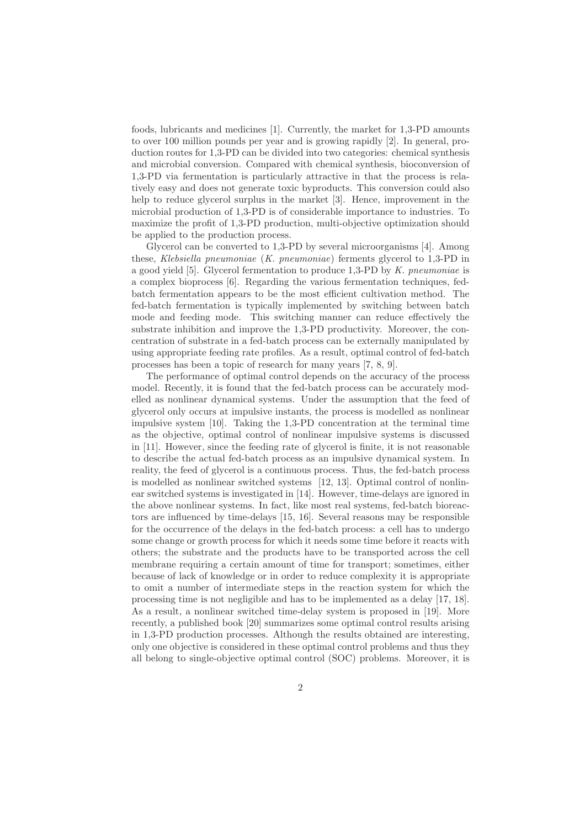foods, lubricants and medicines [1]. Currently, the market for 1,3-PD amounts to over 100 million pounds per year and is growing rapidly [2]. In general, production routes for 1,3-PD can be divided into two categories: chemical synthesis and microbial conversion. Compared with chemical synthesis, bioconversion of 1,3-PD via fermentation is particularly attractive in that the process is relatively easy and does not generate toxic byproducts. This conversion could also help to reduce glycerol surplus in the market [3]. Hence, improvement in the microbial production of 1,3-PD is of considerable importance to industries. To maximize the profit of 1,3-PD production, multi-objective optimization should be applied to the production process.

Glycerol can be converted to 1,3-PD by several microorganisms [4]. Among these, Klebsiella pneumoniae (K. pneumoniae) ferments glycerol to 1,3-PD in a good yield [5]. Glycerol fermentation to produce 1,3-PD by K. pneumoniae is a complex bioprocess [6]. Regarding the various fermentation techniques, fedbatch fermentation appears to be the most efficient cultivation method. The fed-batch fermentation is typically implemented by switching between batch mode and feeding mode. This switching manner can reduce effectively the substrate inhibition and improve the 1,3-PD productivity. Moreover, the concentration of substrate in a fed-batch process can be externally manipulated by using appropriate feeding rate profiles. As a result, optimal control of fed-batch processes has been a topic of research for many years [7, 8, 9].

The performance of optimal control depends on the accuracy of the process model. Recently, it is found that the fed-batch process can be accurately modelled as nonlinear dynamical systems. Under the assumption that the feed of glycerol only occurs at impulsive instants, the process is modelled as nonlinear impulsive system [10]. Taking the 1,3-PD concentration at the terminal time as the objective, optimal control of nonlinear impulsive systems is discussed in [11]. However, since the feeding rate of glycerol is finite, it is not reasonable to describe the actual fed-batch process as an impulsive dynamical system. In reality, the feed of glycerol is a continuous process. Thus, the fed-batch process is modelled as nonlinear switched systems [12, 13]. Optimal control of nonlinear switched systems is investigated in [14]. However, time-delays are ignored in the above nonlinear systems. In fact, like most real systems, fed-batch bioreactors are influenced by time-delays [15, 16]. Several reasons may be responsible for the occurrence of the delays in the fed-batch process: a cell has to undergo some change or growth process for which it needs some time before it reacts with others; the substrate and the products have to be transported across the cell membrane requiring a certain amount of time for transport; sometimes, either because of lack of knowledge or in order to reduce complexity it is appropriate to omit a number of intermediate steps in the reaction system for which the processing time is not negligible and has to be implemented as a delay [17, 18]. As a result, a nonlinear switched time-delay system is proposed in [19]. More recently, a published book [20] summarizes some optimal control results arising in 1,3-PD production processes. Although the results obtained are interesting, only one objective is considered in these optimal control problems and thus they all belong to single-objective optimal control (SOC) problems. Moreover, it is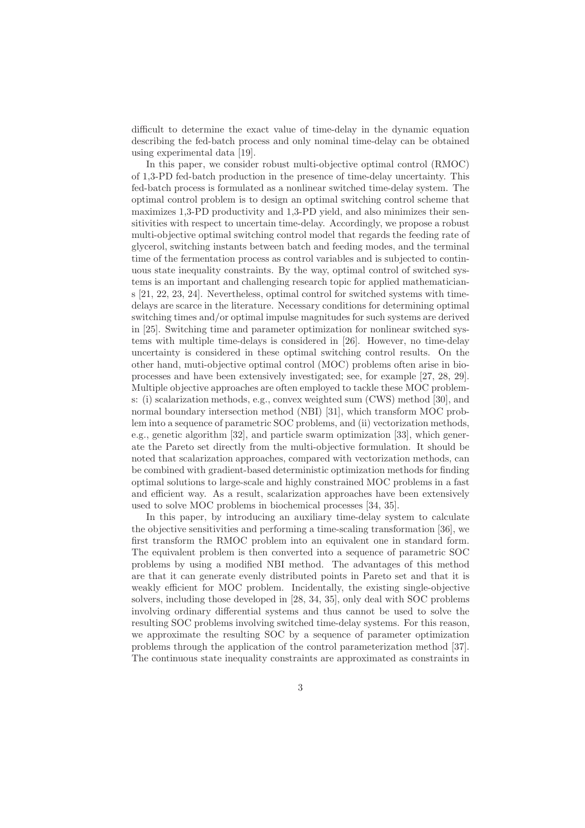difficult to determine the exact value of time-delay in the dynamic equation describing the fed-batch process and only nominal time-delay can be obtained using experimental data [19].

In this paper, we consider robust multi-objective optimal control (RMOC) of 1,3-PD fed-batch production in the presence of time-delay uncertainty. This fed-batch process is formulated as a nonlinear switched time-delay system. The optimal control problem is to design an optimal switching control scheme that maximizes 1,3-PD productivity and 1,3-PD yield, and also minimizes their sensitivities with respect to uncertain time-delay. Accordingly, we propose a robust multi-objective optimal switching control model that regards the feeding rate of glycerol, switching instants between batch and feeding modes, and the terminal time of the fermentation process as control variables and is subjected to continuous state inequality constraints. By the way, optimal control of switched systems is an important and challenging research topic for applied mathematicians [21, 22, 23, 24]. Nevertheless, optimal control for switched systems with timedelays are scarce in the literature. Necessary conditions for determining optimal switching times and/or optimal impulse magnitudes for such systems are derived in [25]. Switching time and parameter optimization for nonlinear switched systems with multiple time-delays is considered in [26]. However, no time-delay uncertainty is considered in these optimal switching control results. On the other hand, muti-objective optimal control (MOC) problems often arise in bioprocesses and have been extensively investigated; see, for example [27, 28, 29]. Multiple objective approaches are often employed to tackle these MOC problems: (i) scalarization methods, e.g., convex weighted sum (CWS) method [30], and normal boundary intersection method (NBI) [31], which transform MOC problem into a sequence of parametric SOC problems, and (ii) vectorization methods, e.g., genetic algorithm [32], and particle swarm optimization [33], which generate the Pareto set directly from the multi-objective formulation. It should be noted that scalarization approaches, compared with vectorization methods, can be combined with gradient-based deterministic optimization methods for finding optimal solutions to large-scale and highly constrained MOC problems in a fast and efficient way. As a result, scalarization approaches have been extensively used to solve MOC problems in biochemical processes [34, 35].

In this paper, by introducing an auxiliary time-delay system to calculate the objective sensitivities and performing a time-scaling transformation [36], we first transform the RMOC problem into an equivalent one in standard form. The equivalent problem is then converted into a sequence of parametric SOC problems by using a modified NBI method. The advantages of this method are that it can generate evenly distributed points in Pareto set and that it is weakly efficient for MOC problem. Incidentally, the existing single-objective solvers, including those developed in [28, 34, 35], only deal with SOC problems involving ordinary differential systems and thus cannot be used to solve the resulting SOC problems involving switched time-delay systems. For this reason, we approximate the resulting SOC by a sequence of parameter optimization problems through the application of the control parameterization method [37]. The continuous state inequality constraints are approximated as constraints in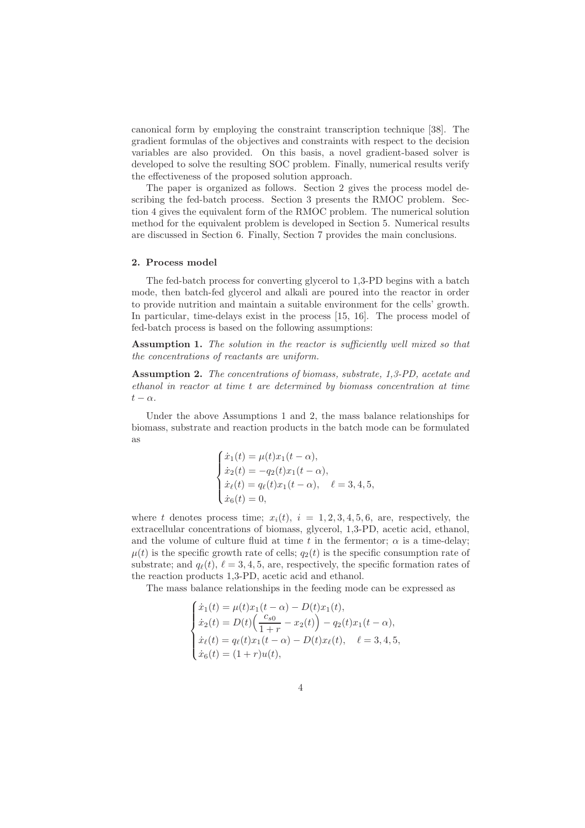canonical form by employing the constraint transcription technique [38]. The gradient formulas of the objectives and constraints with respect to the decision variables are also provided. On this basis, a novel gradient-based solver is developed to solve the resulting SOC problem. Finally, numerical results verify the effectiveness of the proposed solution approach.

The paper is organized as follows. Section 2 gives the process model describing the fed-batch process. Section 3 presents the RMOC problem. Section 4 gives the equivalent form of the RMOC problem. The numerical solution method for the equivalent problem is developed in Section 5. Numerical results are discussed in Section 6. Finally, Section 7 provides the main conclusions.

#### 2. Process model

The fed-batch process for converting glycerol to 1,3-PD begins with a batch mode, then batch-fed glycerol and alkali are poured into the reactor in order to provide nutrition and maintain a suitable environment for the cells' growth. In particular, time-delays exist in the process [15, 16]. The process model of fed-batch process is based on the following assumptions:

Assumption 1. The solution in the reactor is sufficiently well mixed so that the concentrations of reactants are uniform.

Assumption 2. The concentrations of biomass, substrate, 1,3-PD, acetate and ethanol in reactor at time t are determined by biomass concentration at time  $t - \alpha$ .

Under the above Assumptions 1 and 2, the mass balance relationships for biomass, substrate and reaction products in the batch mode can be formulated as

$$
\begin{cases}\n\dot{x}_1(t) = \mu(t)x_1(t - \alpha), \\
\dot{x}_2(t) = -q_2(t)x_1(t - \alpha), \\
\dot{x}_\ell(t) = q_\ell(t)x_1(t - \alpha), \quad \ell = 3, 4, 5, \\
\dot{x}_6(t) = 0,\n\end{cases}
$$

where t denotes process time;  $x_i(t)$ ,  $i = 1, 2, 3, 4, 5, 6$ , are, respectively, the extracellular concentrations of biomass, glycerol, 1,3-PD, acetic acid, ethanol, and the volume of culture fluid at time t in the fermentor;  $\alpha$  is a time-delay;  $\mu(t)$  is the specific growth rate of cells;  $q_2(t)$  is the specific consumption rate of substrate; and  $q_{\ell}(t)$ ,  $\ell = 3, 4, 5$ , are, respectively, the specific formation rates of the reaction products 1,3-PD, acetic acid and ethanol.

The mass balance relationships in the feeding mode can be expressed as

$$
\begin{cases}\n\dot{x}_1(t) = \mu(t)x_1(t-\alpha) - D(t)x_1(t), \\
\dot{x}_2(t) = D(t)\left(\frac{c_{s0}}{1+r} - x_2(t)\right) - q_2(t)x_1(t-\alpha), \\
\dot{x}_\ell(t) = q_\ell(t)x_1(t-\alpha) - D(t)x_\ell(t), \quad \ell = 3, 4, 5, \\
\dot{x}_6(t) = (1+r)u(t),\n\end{cases}
$$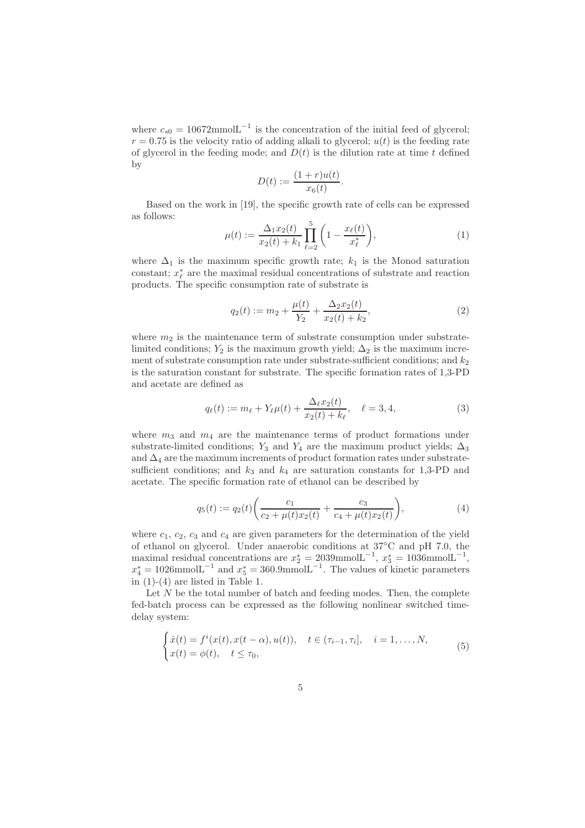where  $c_{s0} = 10672$ mmol $L^{-1}$  is the concentration of the initial feed of glycerol;  $r = 0.75$  is the velocity ratio of adding alkali to glycerol;  $u(t)$  is the feeding rate of glycerol in the feeding mode; and  $D(t)$  is the dilution rate at time t defined by

$$
D(t) := \frac{(1+r)u(t)}{x_6(t)}.
$$

Based on the work in [19], the specific growth rate of cells can be expressed as follows:

$$
\mu(t) := \frac{\Delta_1 x_2(t)}{x_2(t) + k_1} \prod_{\ell=2}^5 \left( 1 - \frac{x_\ell(t)}{x_\ell^*} \right),\tag{1}
$$

where  $\Delta_1$  is the maximum specific growth rate;  $k_1$  is the Monod saturation constant;  $x_{\ell}^*$  are the maximal residual concentrations of substrate and reaction products. The specific consumption rate of substrate is

$$
q_2(t) := m_2 + \frac{\mu(t)}{Y_2} + \frac{\Delta_2 x_2(t)}{x_2(t) + k_2},\tag{2}
$$

where  $m_2$  is the maintenance term of substrate consumption under substratelimited conditions;  $Y_2$  is the maximum growth yield;  $\Delta_2$  is the maximum increment of substrate consumption rate under substrate-sufficient conditions; and  $k_2$ is the saturation constant for substrate. The specific formation rates of 1,3-PD and acetate are defined as

$$
q_{\ell}(t) := m_{\ell} + Y_{\ell}\mu(t) + \frac{\Delta_{\ell}x_2(t)}{x_2(t) + k_{\ell}}, \quad \ell = 3, 4,
$$
\n(3)

where  $m_3$  and  $m_4$  are the maintenance terms of product formations under substrate-limited conditions; Y<sub>3</sub> and Y<sub>4</sub> are the maximum product yields;  $\Delta_3$ and ∆<sup>4</sup> are the maximum increments of product formation rates under substratesufficient conditions; and  $k_3$  and  $k_4$  are saturation constants for 1,3-PD and acetate. The specific formation rate of ethanol can be described by

$$
q_5(t) := q_2(t) \left( \frac{c_1}{c_2 + \mu(t)x_2(t)} + \frac{c_3}{c_4 + \mu(t)x_2(t)} \right),
$$
\n(4)

where  $c_1$ ,  $c_2$ ,  $c_3$  and  $c_4$  are given parameters for the determination of the yield of ethanol on glycerol. Under anaerobic conditions at 37◦C and pH 7.0, the maximal residual concentrations are  $x_2^* = 2039$ mmol $L^{-1}$ ,  $x_3^* = 1036$ mmol $L^{-1}$ ,  $x_4^* = 1026$ mmol $L^{-1}$  and  $x_5^* = 360.9$ mmol $L^{-1}$ . The values of kinetic parameters in  $(1)-(4)$  are listed in Table 1.

Let  $N$  be the total number of batch and feeding modes. Then, the complete fed-batch process can be expressed as the following nonlinear switched timedelay system:

$$
\begin{cases}\n\dot{x}(t) = f^i(x(t), x(t - \alpha), u(t)), & t \in (\tau_{i-1}, \tau_i], \quad i = 1, ..., N, \\
x(t) = \phi(t), & t \le \tau_0,\n\end{cases}
$$
\n(5)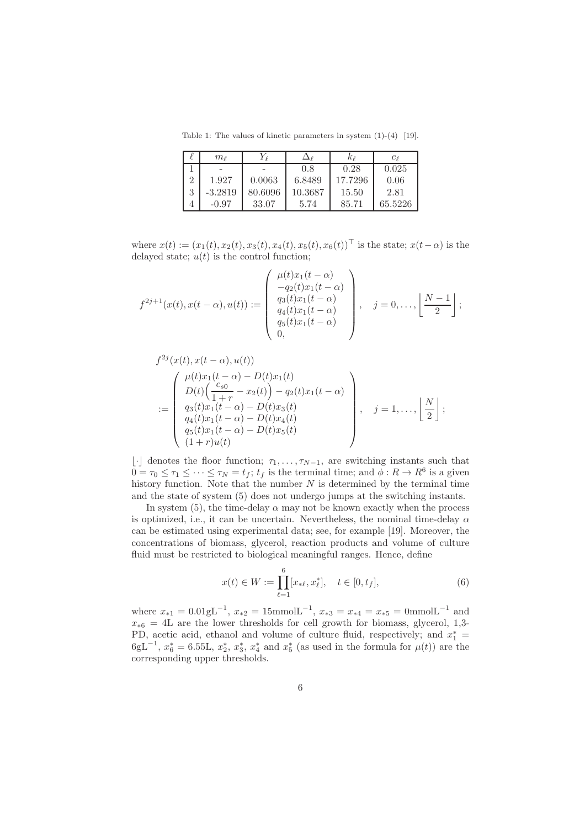Table 1: The values of kinetic parameters in system (1)-(4) [19].

|                | $m$ $\scriptstyle{\rho}$ | Ýφ      |         | $\kappa_{\ell}$ | $c_{\ell}$ |
|----------------|--------------------------|---------|---------|-----------------|------------|
|                |                          |         | 0.8     | 0.28            | 0.025      |
| $\overline{2}$ | 1.927                    | 0.0063  | 6.8489  | 17.7296         | 0.06       |
| 3              | $-3.2819$                | 80.6096 | 10.3687 | 15.50           | 2.81       |
|                | $-0.97$                  | 33.07   | 5.74    | 85.71           | 65.5226    |

where  $x(t) := (x_1(t), x_2(t), x_3(t), x_4(t), x_5(t), x_6(t))^{\top}$  is the state;  $x(t-\alpha)$  is the delayed state;  $u(t)$  is the control function;

$$
f^{2j+1}(x(t), x(t-\alpha), u(t)) := \begin{pmatrix} \mu(t)x_1(t-\alpha) \\ -q_2(t)x_1(t-\alpha) \\ q_3(t)x_1(t-\alpha) \\ q_4(t)x_1(t-\alpha) \\ q_5(t)x_1(t-\alpha) \\ 0, \end{pmatrix}, \quad j = 0, \dots, \left\lfloor \frac{N-1}{2} \right\rfloor;
$$

$$
f^{2j}(x(t), x(t - \alpha), u(t))
$$
  
= 
$$
\begin{pmatrix} \mu(t)x_1(t - \alpha) - D(t)x_1(t) \\ D(t) \left(\frac{c_{s0}}{1+r} - x_2(t)\right) - q_2(t)x_1(t - \alpha) \\ q_3(t)x_1(t - \alpha) - D(t)x_3(t) \\ q_4(t)x_1(t - \alpha) - D(t)x_4(t) \\ q_5(t)x_1(t - \alpha) - D(t)x_5(t) \\ (1+r)u(t) \end{pmatrix}, \quad j = 1, ..., \left\lfloor \frac{N}{2} \right\rfloor;
$$

 $\lfloor \cdot \rfloor$  denotes the floor function;  $\tau_1, \ldots, \tau_{N-1}$ , are switching instants such that  $0 = \tau_0 \leq \tau_1 \leq \cdots \leq \tau_N = t_f$ ;  $t_f$  is the terminal time; and  $\phi : R \to R^6$  is a given history function. Note that the number  $N$  is determined by the terminal time and the state of system (5) does not undergo jumps at the switching instants.

In system (5), the time-delay  $\alpha$  may not be known exactly when the process is optimized, i.e., it can be uncertain. Nevertheless, the nominal time-delay  $\alpha$ can be estimated using experimental data; see, for example [19]. Moreover, the concentrations of biomass, glycerol, reaction products and volume of culture fluid must be restricted to biological meaningful ranges. Hence, define

$$
x(t) \in W := \prod_{\ell=1}^{6} [x_{\ast\ell}, x_{\ell}^*], \quad t \in [0, t_f],
$$
 (6)

where  $x_{*1} = 0.01 \text{gL}^{-1}$ ,  $x_{*2} = 15 \text{mmolL}^{-1}$ ,  $x_{*3} = x_{*4} = x_{*5} = 0 \text{mmolL}^{-1}$  and  $x_{*6} = 4L$  are the lower thresholds for cell growth for biomass, glycerol, 1,3-PD, acetic acid, ethanol and volume of culture fluid, respectively; and  $x_1^*$  =  $6gL^{-1}$ ,  $x_6^* = 6.55L$ ,  $x_2^*$ ,  $x_3^*$ ,  $x_4^*$  and  $x_5^*$  (as used in the formula for  $\mu(t)$ ) are the corresponding upper thresholds.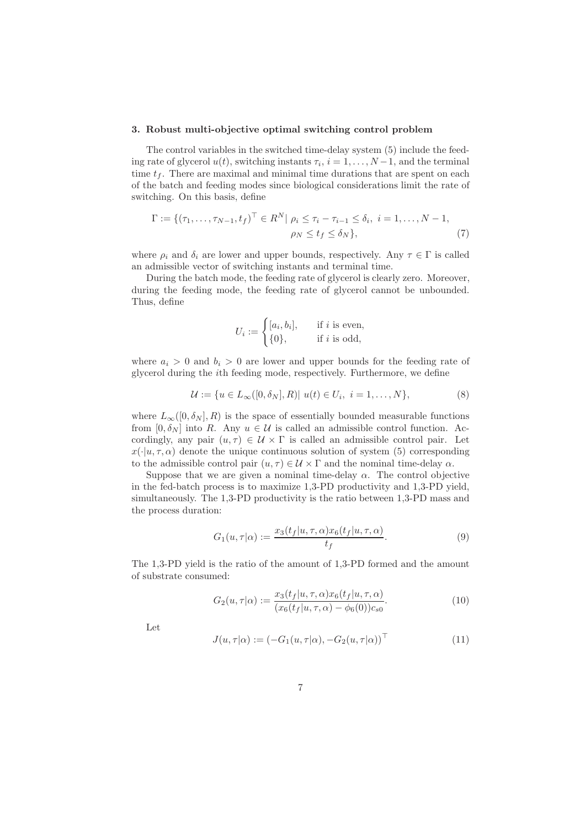#### 3. Robust multi-objective optimal switching control problem

The control variables in the switched time-delay system (5) include the feeding rate of glycerol  $u(t)$ , switching instants  $\tau_i$ ,  $i = 1, \ldots, N-1$ , and the terminal time  $t_f$ . There are maximal and minimal time durations that are spent on each of the batch and feeding modes since biological considerations limit the rate of switching. On this basis, define

$$
\Gamma := \{ (\tau_1, \dots, \tau_{N-1}, t_f)^\top \in R^N | \rho_i \le \tau_i - \tau_{i-1} \le \delta_i, \ i = 1, \dots, N-1, \ \rho_N \le t_f \le \delta_N \}, \tag{7}
$$

where  $\rho_i$  and  $\delta_i$  are lower and upper bounds, respectively. Any  $\tau \in \Gamma$  is called an admissible vector of switching instants and terminal time.

During the batch mode, the feeding rate of glycerol is clearly zero. Moreover, during the feeding mode, the feeding rate of glycerol cannot be unbounded. Thus, define

$$
U_i := \begin{cases} [a_i, b_i], & \text{if } i \text{ is even,} \\ \{0\}, & \text{if } i \text{ is odd,} \end{cases}
$$

where  $a_i > 0$  and  $b_i > 0$  are lower and upper bounds for the feeding rate of glycerol during the ith feeding mode, respectively. Furthermore, we define

$$
\mathcal{U} := \{ u \in L_{\infty}([0, \delta_N], R) | u(t) \in U_i, \ i = 1, ..., N \},
$$
\n(8)

where  $L_{\infty}([0,\delta_N],R)$  is the space of essentially bounded measurable functions from  $[0, \delta_N]$  into R. Any  $u \in \mathcal{U}$  is called an admissible control function. Accordingly, any pair  $(u, \tau) \in \mathcal{U} \times \Gamma$  is called an admissible control pair. Let  $x(\cdot|u, \tau, \alpha)$  denote the unique continuous solution of system (5) corresponding to the admissible control pair  $(u, \tau) \in \mathcal{U} \times \Gamma$  and the nominal time-delay  $\alpha$ .

Suppose that we are given a nominal time-delay  $\alpha$ . The control objective in the fed-batch process is to maximize 1,3-PD productivity and 1,3-PD yield, simultaneously. The 1,3-PD productivity is the ratio between 1,3-PD mass and the process duration:

$$
G_1(u,\tau|\alpha) := \frac{x_3(t_f|u,\tau,\alpha)x_6(t_f|u,\tau,\alpha)}{t_f}.
$$
\n(9)

The 1,3-PD yield is the ratio of the amount of 1,3-PD formed and the amount of substrate consumed:

$$
G_2(u,\tau|\alpha) := \frac{x_3(t_f|u,\tau,\alpha)x_6(t_f|u,\tau,\alpha)}{(x_6(t_f|u,\tau,\alpha) - \phi_6(0))c_{s0}}.
$$
\n(10)

Let

$$
J(u, \tau | \alpha) := (-G_1(u, \tau | \alpha), -G_2(u, \tau | \alpha))^\top
$$
\n(11)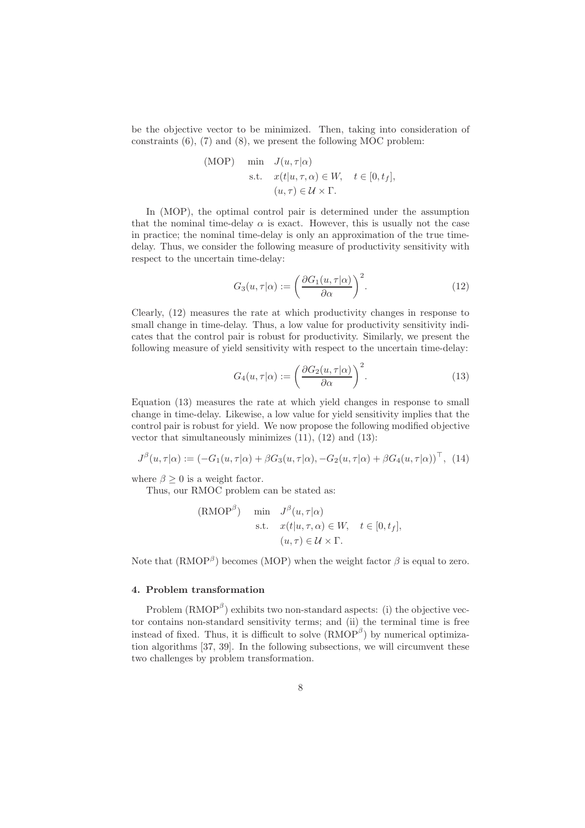be the objective vector to be minimized. Then, taking into consideration of constraints (6), (7) and (8), we present the following MOC problem:

(MOP) min 
$$
J(u, \tau | \alpha)
$$
  
s.t.  $x(t | u, \tau, \alpha) \in W$ ,  $t \in [0, t_f]$ ,  
 $(u, \tau) \in \mathcal{U} \times \Gamma$ .

In (MOP), the optimal control pair is determined under the assumption that the nominal time-delay  $\alpha$  is exact. However, this is usually not the case in practice; the nominal time-delay is only an approximation of the true timedelay. Thus, we consider the following measure of productivity sensitivity with respect to the uncertain time-delay:

$$
G_3(u,\tau|\alpha) := \left(\frac{\partial G_1(u,\tau|\alpha)}{\partial \alpha}\right)^2.
$$
 (12)

Clearly, (12) measures the rate at which productivity changes in response to small change in time-delay. Thus, a low value for productivity sensitivity indicates that the control pair is robust for productivity. Similarly, we present the following measure of yield sensitivity with respect to the uncertain time-delay:

$$
G_4(u, \tau | \alpha) := \left(\frac{\partial G_2(u, \tau | \alpha)}{\partial \alpha}\right)^2.
$$
 (13)

Equation (13) measures the rate at which yield changes in response to small change in time-delay. Likewise, a low value for yield sensitivity implies that the control pair is robust for yield. We now propose the following modified objective vector that simultaneously minimizes (11), (12) and (13):

$$
J^{\beta}(u,\tau|\alpha) := (-G_1(u,\tau|\alpha) + \beta G_3(u,\tau|\alpha), -G_2(u,\tau|\alpha) + \beta G_4(u,\tau|\alpha))^\top, (14)
$$

where  $\beta \geq 0$  is a weight factor.

Thus, our RMOC problem can be stated as:

(RMOP<sup>$$
\beta
$$</sup>) min  $J^{\beta}(u, \tau | \alpha)$   
s.t.  $x(t | u, \tau, \alpha) \in W$ ,  $t \in [0, t_f]$ ,  
 $(u, \tau) \in \mathcal{U} \times \Gamma$ .

Note that  $(RMOP^{\beta})$  becomes (MOP) when the weight factor  $\beta$  is equal to zero.

#### 4. Problem transformation

Problem  $(RMOP^{\beta})$  exhibits two non-standard aspects: (i) the objective vector contains non-standard sensitivity terms; and (ii) the terminal time is free instead of fixed. Thus, it is difficult to solve  $(RMOP^{\beta})$  by numerical optimization algorithms [37, 39]. In the following subsections, we will circumvent these two challenges by problem transformation.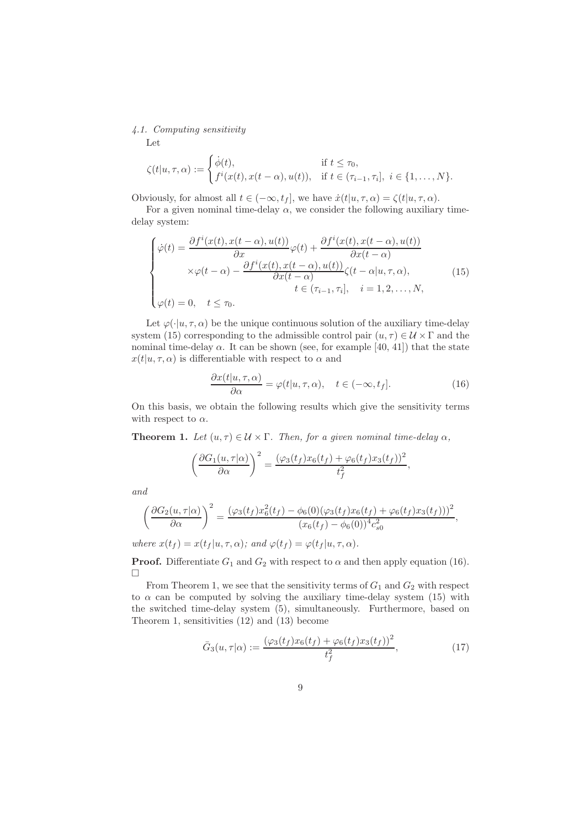## 4.1. Computing sensitivity

Let

$$
\zeta(t|u,\tau,\alpha) := \begin{cases} \dot{\phi}(t), & \text{if } t \leq \tau_0, \\ f^i(x(t),x(t-\alpha),u(t)), & \text{if } t \in (\tau_{i-1},\tau_i], \ i \in \{1,\ldots,N\}. \end{cases}
$$

Obviously, for almost all  $t \in (-\infty, t_f]$ , we have  $\dot{x}(t|u, \tau, \alpha) = \zeta(t|u, \tau, \alpha)$ .

For a given nominal time-delay  $\alpha$ , we consider the following auxiliary timedelay system:

$$
\begin{cases}\n\dot{\varphi}(t) = \frac{\partial f^{i}(x(t), x(t-\alpha), u(t))}{\partial x} \varphi(t) + \frac{\partial f^{i}(x(t), x(t-\alpha), u(t))}{\partial x(t-\alpha)} \\
\times \varphi(t-\alpha) - \frac{\partial f^{i}(x(t), x(t-\alpha), u(t))}{\partial x(t-\alpha)} \zeta(t-\alpha|u, \tau, \alpha), \\
t \in (\tau_{i-1}, \tau_{i}], \quad i = 1, 2, ..., N, \\
\varphi(t) = 0, \quad t \le \tau_{0}.\n\end{cases}
$$
\n(15)

Let  $\varphi(\cdot|u,\tau,\alpha)$  be the unique continuous solution of the auxiliary time-delay system (15) corresponding to the admissible control pair  $(u, \tau) \in \mathcal{U} \times \Gamma$  and the nominal time-delay  $\alpha$ . It can be shown (see, for example [40, 41]) that the state  $x(t|u, \tau, \alpha)$  is differentiable with respect to  $\alpha$  and

$$
\frac{\partial x(t|u,\tau,\alpha)}{\partial \alpha} = \varphi(t|u,\tau,\alpha), \quad t \in (-\infty, t_f]. \tag{16}
$$

On this basis, we obtain the following results which give the sensitivity terms with respect to  $\alpha$ .

**Theorem 1.** Let  $(u, \tau) \in \mathcal{U} \times \Gamma$ . Then, for a given nominal time-delay  $\alpha$ ,

$$
\left(\frac{\partial G_1(u,\tau|\alpha)}{\partial \alpha}\right)^2 = \frac{(\varphi_3(t_f)x_6(t_f) + \varphi_6(t_f)x_3(t_f))^2}{t_f^2},
$$

and

$$
\left(\frac{\partial G_2(u,\tau|\alpha)}{\partial \alpha}\right)^2 = \frac{(\varphi_3(t_f)x_6^2(t_f) - \phi_6(0)(\varphi_3(t_f)x_6(t_f) + \varphi_6(t_f)x_3(t_f)))^2}{(x_6(t_f) - \phi_6(0))^4 c_{s0}^2},
$$

where  $x(t_f) = x(t_f | u, \tau, \alpha)$ ; and  $\varphi(t_f) = \varphi(t_f | u, \tau, \alpha)$ .

**Proof.** Differentiate  $G_1$  and  $G_2$  with respect to  $\alpha$  and then apply equation (16).  $\Box$ 

From Theorem 1, we see that the sensitivity terms of  $G_1$  and  $G_2$  with respect to  $\alpha$  can be computed by solving the auxiliary time-delay system (15) with the switched time-delay system (5), simultaneously. Furthermore, based on Theorem 1, sensitivities (12) and (13) become

$$
\bar{G}_3(u,\tau|\alpha) := \frac{(\varphi_3(t_f)x_6(t_f) + \varphi_6(t_f)x_3(t_f))^2}{t_f^2},\tag{17}
$$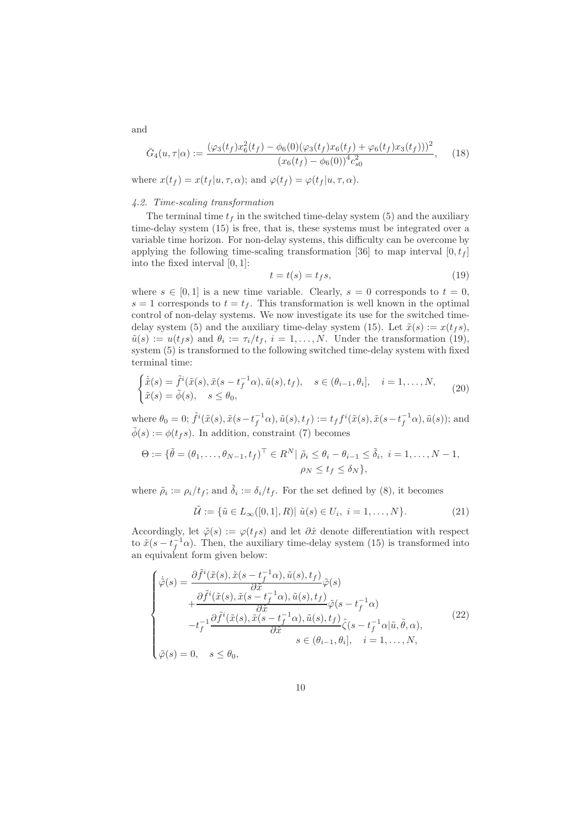$$
\bar{G}_4(u,\tau|\alpha) := \frac{(\varphi_3(t_f)x_6^2(t_f) - \phi_6(0)(\varphi_3(t_f)x_6(t_f) + \varphi_6(t_f)x_3(t_f)))^2}{(x_6(t_f) - \phi_6(0))^{4}c_{s0}^{2}},
$$
(18)

where  $x(t_f) = x(t_f | u, \tau, \alpha)$ ; and  $\varphi(t_f) = \varphi(t_f | u, \tau, \alpha)$ .

## 4.2. Time-scaling transformation

The terminal time  $t_f$  in the switched time-delay system (5) and the auxiliary time-delay system (15) is free, that is, these systems must be integrated over a variable time horizon. For non-delay systems, this difficulty can be overcome by applying the following time-scaling transformation [36] to map interval  $[0, t_f]$ into the fixed interval [0, 1]:

$$
t = t(s) = t_f s,\tag{19}
$$

where  $s \in [0, 1]$  is a new time variable. Clearly,  $s = 0$  corresponds to  $t = 0$ ,  $s = 1$  corresponds to  $t = t_f$ . This transformation is well known in the optimal control of non-delay systems. We now investigate its use for the switched timedelay system (5) and the auxiliary time-delay system (15). Let  $\tilde{x}(s) := x(t_f s)$ ,  $\tilde{u}(s) := u(t_f s)$  and  $\theta_i := \tau_i/t_f$ ,  $i = 1, \ldots, N$ . Under the transformation (19), system (5) is transformed to the following switched time-delay system with fixed terminal time:

$$
\begin{cases}\n\dot{\tilde{x}}(s) = \tilde{f}^i(\tilde{x}(s), \tilde{x}(s - t_f^{-1}\alpha), \tilde{u}(s), t_f), & s \in (\theta_{i-1}, \theta_i], \quad i = 1, \dots, N, \\
\tilde{x}(s) = \tilde{\phi}(s), & s \le \theta_0,\n\end{cases}
$$
\n(20)

where  $\theta_0 = 0$ ;  $\tilde{f}^i(\tilde{x}(s), \tilde{x}(s - t_f^{-1}\alpha), \tilde{u}(s), t_f) := t_f f^i(\tilde{x}(s), \tilde{x}(s - t_f^{-1}\alpha), \tilde{u}(s))$ ; and  $\tilde{\phi}(s) := \phi(t_f s)$ . In addition, constraint (7) becomes

$$
\Theta := \{ \tilde{\theta} = (\theta_1, \dots, \theta_{N-1}, t_f)^\top \in R^N | \tilde{\rho}_i \leq \theta_i - \theta_{i-1} \leq \tilde{\delta}_i, i = 1, \dots, N-1, \}
$$
  

$$
\rho_N \leq t_f \leq \delta_N \},
$$

where  $\tilde{\rho}_i := \rho_i / t_f$ ; and  $\tilde{\delta}_i := \delta_i / t_f$ . For the set defined by (8), it becomes

$$
\tilde{\mathcal{U}} := \{ \tilde{u} \in L_{\infty}([0,1], R) | \tilde{u}(s) \in U_i, i = 1, ..., N \}.
$$
\n(21)

Accordingly, let  $\tilde{\varphi}(s) := \varphi(t_f s)$  and let  $\partial \hat{x}$  denote differentiation with respect to  $\tilde{x}(s - t_f^{-1}\alpha)$ . Then, the auxiliary time-delay system (15) is transformed into an equivalent form given below:

$$
\begin{cases}\n\dot{\tilde{\varphi}}(s) = \frac{\partial \tilde{f}^{i}(\tilde{x}(s), \tilde{x}(s - t_{f}^{-1}\alpha), \tilde{u}(s), t_{f})}{\partial \tilde{x}} \tilde{\varphi}(s) \\
+ \frac{\partial \tilde{f}^{i}(\tilde{x}(s), \tilde{x}(s - t_{f}^{-1}\alpha), \tilde{u}(s), t_{f})}{\partial \tilde{x}} \tilde{\varphi}(s - t_{f}^{-1}\alpha) \\
-t_{f}^{-1} \frac{\partial \tilde{f}^{i}(\tilde{x}(s), \tilde{x}(s - t_{f}^{-1}\alpha), \tilde{u}(s), t_{f})}{\partial \tilde{x}} \tilde{\zeta}(s - t_{f}^{-1}\alpha | \tilde{u}, \tilde{\theta}, \alpha), \\
s \in (\theta_{i-1}, \theta_{i}], \quad i = 1, ..., N,\n\end{cases} (22)
$$

and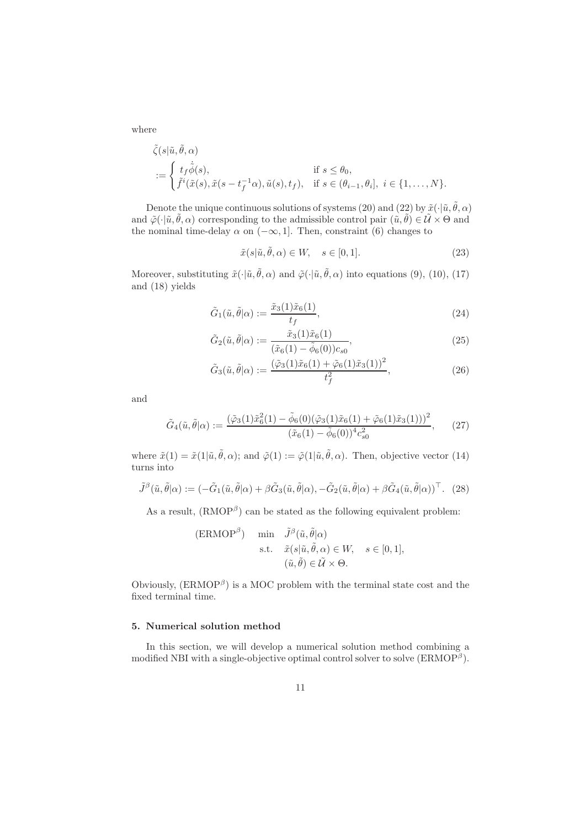where

$$
\tilde{\zeta}(s|\tilde{u}, \tilde{\theta}, \alpha) \n:= \begin{cases}\nt_f \dot{\tilde{\phi}}(s), & \text{if } s \leq \theta_0, \\
\tilde{f}^i(\tilde{x}(s), \tilde{x}(s - t_f^{-1}\alpha), \tilde{u}(s), t_f), & \text{if } s \in (\theta_{i-1}, \theta_i], \ i \in \{1, \dots, N\}.\n\end{cases}
$$

Denote the unique continuous solutions of systems (20) and (22) by  $\tilde{x}(\cdot|\tilde{u}, \tilde{\theta}, \alpha)$ and  $\tilde{\varphi}(\cdot|\tilde{u},\tilde{\theta},\alpha)$  corresponding to the admissible control pair  $(\tilde{u},\tilde{\theta})\in \tilde{\mathcal{U}}\times\Theta$  and the nominal time-delay  $\alpha$  on  $(-\infty, 1]$ . Then, constraint (6) changes to

$$
\tilde{x}(s|\tilde{u}, \tilde{\theta}, \alpha) \in W, \quad s \in [0, 1]. \tag{23}
$$

Moreover, substituting  $\tilde{x}(\cdot|\tilde{u}, \tilde{\theta}, \alpha)$  and  $\tilde{\varphi}(\cdot|\tilde{u}, \tilde{\theta}, \alpha)$  into equations (9), (10), (17) and (18) yields

$$
\tilde{G}_1(\tilde{u}, \tilde{\theta}|\alpha) := \frac{\tilde{x}_3(1)\tilde{x}_6(1)}{t_f},\tag{24}
$$

$$
\tilde{G}_2(\tilde{u}, \tilde{\theta}|\alpha) := \frac{\tilde{x}_3(1)\tilde{x}_6(1)}{(\tilde{x}_6(1) - \tilde{\phi}_6(0))c_{s0}},
$$
\n(25)

$$
\tilde{G}_3(\tilde{u}, \tilde{\theta}|\alpha) := \frac{(\tilde{\varphi}_3(1)\tilde{x}_6(1) + \tilde{\varphi}_6(1)\tilde{x}_3(1))^2}{t_f^2},\tag{26}
$$

and

$$
\tilde{G}_4(\tilde{u}, \tilde{\theta}|\alpha) := \frac{(\tilde{\varphi}_3(1)\tilde{x}_6^2(1) - \tilde{\phi}_6(0)(\tilde{\varphi}_3(1)\tilde{x}_6(1) + \tilde{\varphi}_6(1)\tilde{x}_3(1)))^2}{(\tilde{x}_6(1) - \tilde{\phi}_6(0))^4 c_{s0}^2},
$$
\n(27)

where  $\tilde{x}(1) = \tilde{x}(1|\tilde{u}, \tilde{\theta}, \alpha)$ ; and  $\tilde{\varphi}(1) := \tilde{\varphi}(1|\tilde{u}, \tilde{\theta}, \alpha)$ . Then, objective vector (14) turns into

$$
\tilde{J}^{\beta}(\tilde{u},\tilde{\theta}|\alpha) := (-\tilde{G}_1(\tilde{u},\tilde{\theta}|\alpha) + \beta \tilde{G}_3(\tilde{u},\tilde{\theta}|\alpha), -\tilde{G}_2(\tilde{u},\tilde{\theta}|\alpha) + \beta \tilde{G}_4(\tilde{u},\tilde{\theta}|\alpha))^\top. (28)
$$

As a result,  $(RMOP^{\beta})$  can be stated as the following equivalent problem:

$$
\begin{aligned} \text{(ERMOP}^{\beta}) & \min \quad & \tilde{J}^{\beta}(\tilde{u}, \tilde{\theta} | \alpha) \\ \text{s.t.} \quad & \tilde{x}(s | \tilde{u}, \tilde{\theta}, \alpha) \in W, \quad s \in [0, 1], \\ & (\tilde{u}, \tilde{\theta}) \in \tilde{\mathcal{U}} \times \Theta. \end{aligned}
$$

Obviously,  $(ERMOP^{\beta})$  is a MOC problem with the terminal state cost and the fixed terminal time.

#### 5. Numerical solution method

In this section, we will develop a numerical solution method combining a modified NBI with a single-objective optimal control solver to solve  $(ERMOP^{\beta})$ .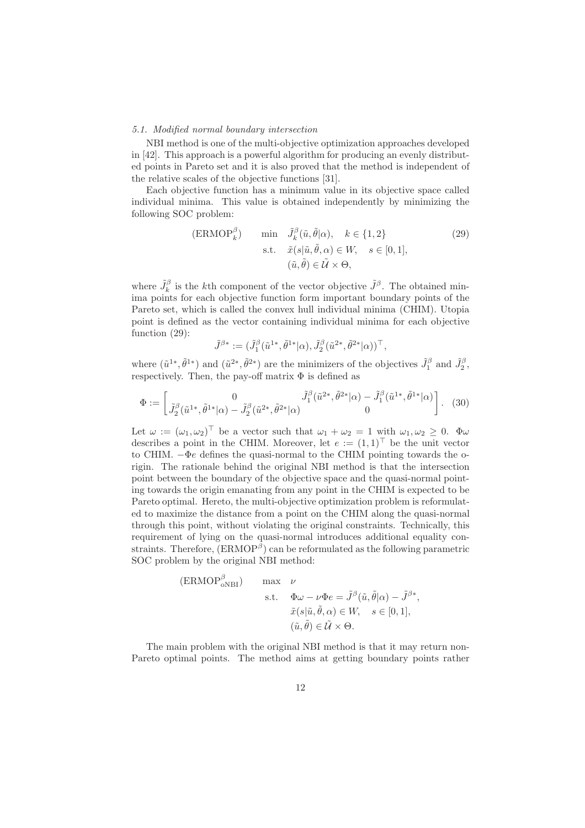#### 5.1. Modified normal boundary intersection

NBI method is one of the multi-objective optimization approaches developed in [42]. This approach is a powerful algorithm for producing an evenly distributed points in Pareto set and it is also proved that the method is independent of the relative scales of the objective functions [31].

Each objective function has a minimum value in its objective space called individual minima. This value is obtained independently by minimizing the following SOC problem:

$$
\begin{array}{ll}\n\text{(ERMOP}_{k}^{\beta}) & \text{min} \quad \tilde{J}_{k}^{\beta}(\tilde{u}, \tilde{\theta} | \alpha), \quad k \in \{1, 2\} \\
& \text{s.t.} \quad \tilde{x}(s | \tilde{u}, \tilde{\theta}, \alpha) \in W, \quad s \in [0, 1], \\
& (\tilde{u}, \tilde{\theta}) \in \tilde{U} \times \Theta,\n\end{array} \tag{29}
$$

where  $\tilde{J}_k^{\beta}$  is the kth component of the vector objective  $\tilde{J}^{\beta}$ . The obtained minima points for each objective function form important boundary points of the Pareto set, which is called the convex hull individual minima (CHIM). Utopia point is defined as the vector containing individual minima for each objective function (29):

$$
\tilde J^{\beta*} := (\tilde J_1^\beta(\tilde u^{1*}, \tilde\theta^{1*}|\alpha), \tilde J_2^\beta(\tilde u^{2*}, \tilde\theta^{2*}|\alpha))^\top,
$$

where  $(\tilde{u}^{1*}, \tilde{\theta}^{1*})$  and  $(\tilde{u}^{2*}, \tilde{\theta}^{2*})$  are the minimizers of the objectives  $\tilde{J}_1^{\beta}$  and  $\tilde{J}_2^{\beta}$ , respectively. Then, the pay-off matrix  $\Phi$  is defined as

$$
\Phi := \begin{bmatrix} 0 & \tilde{J}_1^{\beta}(\tilde{u}^{1*}, \tilde{\theta}^{1*}|\alpha) - \tilde{J}_2^{\beta}(\tilde{u}^{2*}, \tilde{\theta}^{2*}|\alpha) & \tilde{J}_1^{\beta}(\tilde{u}^{1*}, \tilde{\theta}^{1*}|\alpha) \\ \tilde{J}_2^{\beta}(\tilde{u}^{1*}, \tilde{\theta}^{1*}|\alpha) - \tilde{J}_2^{\beta}(\tilde{u}^{2*}, \tilde{\theta}^{2*}|\alpha) & 0 \end{bmatrix}.
$$
 (30)

Let  $\omega := (\omega_1, \omega_2)^\top$  be a vector such that  $\omega_1 + \omega_2 = 1$  with  $\omega_1, \omega_2 \geq 0$ .  $\Phi \omega$ describes a point in the CHIM. Moreover, let  $e := (1,1)^\top$  be the unit vector to CHIM.  $-\Phi e$  defines the quasi-normal to the CHIM pointing towards the origin. The rationale behind the original NBI method is that the intersection point between the boundary of the objective space and the quasi-normal pointing towards the origin emanating from any point in the CHIM is expected to be Pareto optimal. Hereto, the multi-objective optimization problem is reformulated to maximize the distance from a point on the CHIM along the quasi-normal through this point, without violating the original constraints. Technically, this requirement of lying on the quasi-normal introduces additional equality constraints. Therefore,  $(ERMOP^{\beta})$  can be reformulated as the following parametric SOC problem by the original NBI method:

(ERMOP<sup>β</sup><sub>oNBI</sub>) 
$$
\max \nu
$$
  
s.t.  $\Phi \omega - \nu \Phi e = \tilde{J}^{\beta}(\tilde{u}, \tilde{\theta}|\alpha) - \tilde{J}^{\beta*},$   
 $\tilde{x}(s|\tilde{u}, \tilde{\theta}, \alpha) \in W, \quad s \in [0, 1],$   
 $(\tilde{u}, \tilde{\theta}) \in \tilde{U} \times \Theta.$ 

The main problem with the original NBI method is that it may return non-Pareto optimal points. The method aims at getting boundary points rather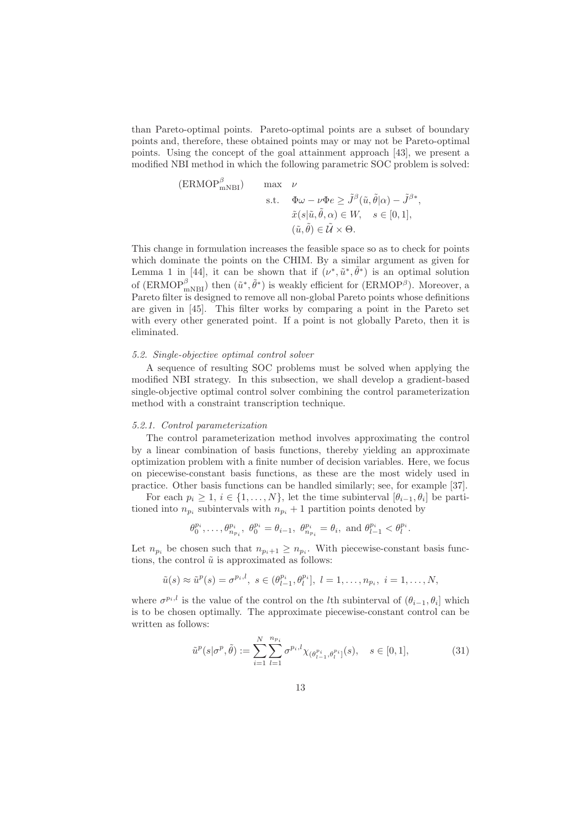than Pareto-optimal points. Pareto-optimal points are a subset of boundary points and, therefore, these obtained points may or may not be Pareto-optimal points. Using the concept of the goal attainment approach [43], we present a modified NBI method in which the following parametric SOC problem is solved:

(ERMOP<sup>$$
\beta
$$</sup>  
\ns.t.  $\Phi \omega - \nu \Phi e \ge \tilde{J}^{\beta}(\tilde{u}, \tilde{\theta}|\alpha) - \tilde{J}^{\beta*}$ ,  
\n $\tilde{x}(s|\tilde{u}, \tilde{\theta}, \alpha) \in W, \quad s \in [0, 1],$   
\n $(\tilde{u}, \tilde{\theta}) \in \tilde{\mathcal{U}} \times \Theta.$ 

This change in formulation increases the feasible space so as to check for points which dominate the points on the CHIM. By a similar argument as given for Lemma 1 in [44], it can be shown that if  $(\nu^*, \tilde{u}^*, \tilde{\theta}^*)$  is an optimal solution of  $(\text{ERMOP}^{\beta}_{mNBI})$  then  $(\tilde{u}^*, \tilde{\theta}^*)$  is weakly efficient for  $(\text{ERMOP}^{\beta})$ . Moreover, a Pareto filter is designed to remove all non-global Pareto points whose definitions are given in [45]. This filter works by comparing a point in the Pareto set with every other generated point. If a point is not globally Pareto, then it is eliminated.

#### 5.2. Single-objective optimal control solver

A sequence of resulting SOC problems must be solved when applying the modified NBI strategy. In this subsection, we shall develop a gradient-based single-objective optimal control solver combining the control parameterization method with a constraint transcription technique.

#### 5.2.1. Control parameterization

The control parameterization method involves approximating the control by a linear combination of basis functions, thereby yielding an approximate optimization problem with a finite number of decision variables. Here, we focus on piecewise-constant basis functions, as these are the most widely used in practice. Other basis functions can be handled similarly; see, for example [37].

For each  $p_i \geq 1, i \in \{1, \ldots, N\}$ , let the time subinterval  $[\theta_{i-1}, \theta_i]$  be partitioned into  $n_{p_i}$  subintervals with  $n_{p_i} + 1$  partition points denoted by

$$
\theta_0^{p_i}, \ldots, \theta_{n_{p_i}}^{p_i}, \ \theta_0^{p_i} = \theta_{i-1}, \ \theta_{n_{p_i}}^{p_i} = \theta_i, \text{ and } \theta_{l-1}^{p_i} < \theta_l^{p_i}.
$$

Let  $n_{p_i}$  be chosen such that  $n_{p_i+1} \geq n_{p_i}$ . With piecewise-constant basis functions, the control  $\tilde{u}$  is approximated as follows:

$$
\tilde{u}(s) \approx \tilde{u}^p(s) = \sigma^{p_i, l}, \ s \in (\theta^{p_i}_{l-1}, \theta^{p_i}_{l}], \ l = 1, \ldots, n_{p_i}, \ i = 1, \ldots, N,
$$

where  $\sigma^{p_i,l}$  is the value of the control on the *l*th subinterval of  $(\theta_{i-1}, \theta_i]$  which is to be chosen optimally. The approximate piecewise-constant control can be written as follows:

$$
\tilde{u}^p(s|\sigma^p, \tilde{\theta}) := \sum_{i=1}^N \sum_{l=1}^{n_{p_i}} \sigma^{p_i, l} \chi_{(\theta^{p_i}_{l-1}, \theta^{p_i}_l]}(s), \quad s \in [0, 1],
$$
\n(31)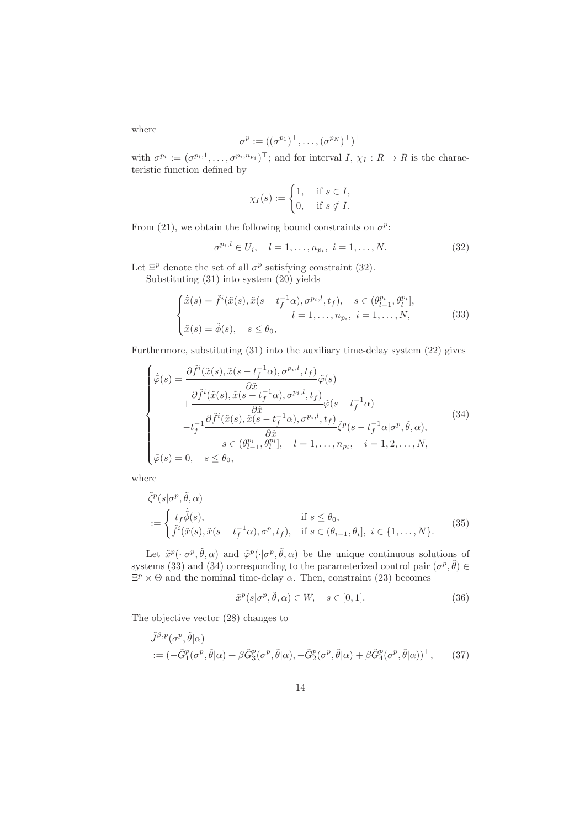where

$$
\sigma^p := ((\sigma^{p_1})^\top, \ldots, (\sigma^{p_N})^\top)^\top
$$

with  $\sigma^{p_i} := (\sigma^{p_i,1}, \ldots, \sigma^{p_i, n_{p_i}})^\top$ ; and for interval  $I, \chi_I : R \to R$  is the characteristic function defined by

$$
\chi_I(s) := \begin{cases} 1, & \text{if } s \in I, \\ 0, & \text{if } s \notin I. \end{cases}
$$

From (21), we obtain the following bound constraints on  $\sigma^p$ :

$$
\sigma^{p_i, l} \in U_i, \quad l = 1, \dots, n_{p_i}, \ i = 1, \dots, N. \tag{32}
$$

Let  $\Xi^p$  denote the set of all  $\sigma^p$  satisfying constraint (32).

Substituting (31) into system (20) yields

$$
\begin{cases}\n\dot{\tilde{x}}(s) = \tilde{f}^i(\tilde{x}(s), \tilde{x}(s - t_f^{-1}\alpha), \sigma^{p_i, l}, t_f), & s \in (\theta_{l-1}^{p_i}, \theta_l^{p_i}], \\
l = 1, \dots, n_{p_i}, & i = 1, \dots, N,\n\end{cases}
$$
\n(33)

Furthermore, substituting (31) into the auxiliary time-delay system (22) gives

$$
\begin{cases}\n\dot{\tilde{\varphi}}(s) = \frac{\partial \tilde{f}^{i}(\tilde{x}(s), \tilde{x}(s - t_{f}^{-1}\alpha), \sigma^{p_{i},l}, t_{f})}{\partial \tilde{x}} \tilde{\varphi}(s) \\
+ \frac{\partial \tilde{f}^{i}(\tilde{x}(s), \tilde{x}(s - t_{f}^{-1}\alpha), \sigma^{p_{i},l}, t_{f})}{\partial \hat{x}} \tilde{\varphi}(s - t_{f}^{-1}\alpha) \\
-t_{f}^{-1} \frac{\partial \tilde{f}^{i}(\tilde{x}(s), \tilde{x}(s - t_{f}^{-1}\alpha), \sigma^{p_{i},l}, t_{f})}{\partial \hat{x}} \tilde{\zeta}^{p}(s - t_{f}^{-1}\alpha | \sigma^{p}, \tilde{\theta}, \alpha), \\
s \in (\theta_{l-1}^{p_{i}}, \theta_{l}^{p_{i}}], \quad l = 1, \ldots, n_{p_{i}}, \quad i = 1, 2, \ldots, N, \\
\tilde{\varphi}(s) = 0, \quad s \leq \theta_{0},\n\end{cases} (34)
$$

where

$$
\tilde{\zeta}^p(s|\sigma^p, \tilde{\theta}, \alpha)
$$
  
:= 
$$
\begin{cases} t_f \dot{\tilde{\phi}}(s), & \text{if } s \le \theta_0, \\ \tilde{f}^i(\tilde{x}(s), \tilde{x}(s - t_f^{-1}\alpha), \sigma^p, t_f), & \text{if } s \in (\theta_{i-1}, \theta_i], \ i \in \{1, \dots, N\}. \end{cases}
$$
(35)

Let  $\tilde{x}^p(\cdot|\sigma^p, \tilde{\theta}, \alpha)$  and  $\tilde{\varphi}^p(\cdot|\sigma^p, \tilde{\theta}, \alpha)$  be the unique continuous solutions of systems (33) and (34) corresponding to the parameterized control pair  $(\sigma^p, \tilde{\theta}) \in$  $\Xi^p \times \Theta$  and the nominal time-delay  $\alpha$ . Then, constraint (23) becomes

$$
\tilde{x}^p(s|\sigma^p, \tilde{\theta}, \alpha) \in W, \quad s \in [0, 1].
$$
\n(36)

The objective vector (28) changes to

$$
\tilde{J}^{\beta,p}(\sigma^p, \tilde{\theta}|\alpha) \n:= (-\tilde{G}_1^p(\sigma^p, \tilde{\theta}|\alpha) + \beta \tilde{G}_3^p(\sigma^p, \tilde{\theta}|\alpha), -\tilde{G}_2^p(\sigma^p, \tilde{\theta}|\alpha) + \beta \tilde{G}_4^p(\sigma^p, \tilde{\theta}|\alpha))^\top, \tag{37}
$$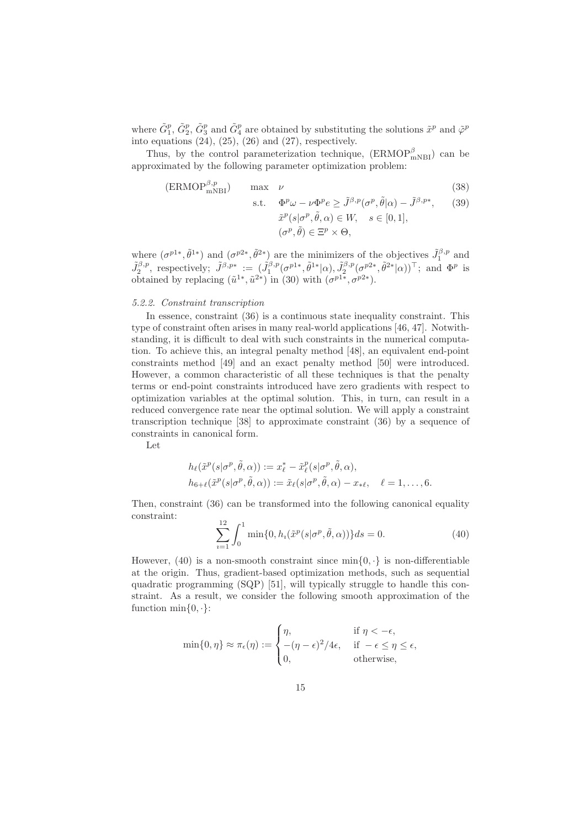where  $\tilde{G}_1^p$ ,  $\tilde{G}_2^p$ ,  $\tilde{G}_3^p$  and  $\tilde{G}_4^p$  are obtained by substituting the solutions  $\tilde{x}^p$  and  $\tilde{\varphi}^p$ into equations  $(24)$ ,  $(25)$ ,  $(26)$  and  $(27)$ , respectively.

Thus, by the control parameterization technique,  $(\text{ERMOP}^{\beta}_{mNBI})$  can be approximated by the following parameter optimization problem:

$$
(\text{ERMOP}^{\beta,p}_{\text{mNBI}}) \qquad \text{max} \quad \nu \tag{38}
$$

s.t. 
$$
\Phi^p \omega - \nu \Phi^p e \ge \tilde{J}^{\beta, p}(\sigma^p, \tilde{\theta} | \alpha) - \tilde{J}^{\beta, p*},
$$
 (39)  

$$
\tilde{x}^p(s | \sigma^p, \tilde{\theta}, \alpha) \in W, \quad s \in [0, 1],
$$
  

$$
(\sigma^p, \tilde{\theta}) \in \Xi^p \times \Theta,
$$

where  $(\sigma^{p1*}, \tilde{\theta}^{1*})$  and  $(\sigma^{p2*}, \tilde{\theta}^{2*})$  are the minimizers of the objectives  $\tilde{J}_1^{\beta,p}$  and  $\tilde{J}_2^{\beta,p}$ , respectively;  $\tilde{J}^{\beta,p*} := (\tilde{J}_1^{\beta,p}(\sigma^{p1*},\tilde{\theta}^{1*}|\alpha), \tilde{J}_2^{\beta,p}(\sigma^{p2*},\tilde{\theta}^{2*}|\alpha))^\top$ ; and  $\Phi^p$  is obtained by replacing  $(\tilde{u}^{1*}, \tilde{u}^{2*})$  in (30) with  $(\sigma^{p1*}, \sigma^{p2*})$ .

#### 5.2.2. Constraint transcription

In essence, constraint (36) is a continuous state inequality constraint. This type of constraint often arises in many real-world applications [46, 47]. Notwithstanding, it is difficult to deal with such constraints in the numerical computation. To achieve this, an integral penalty method [48], an equivalent end-point constraints method [49] and an exact penalty method [50] were introduced. However, a common characteristic of all these techniques is that the penalty terms or end-point constraints introduced have zero gradients with respect to optimization variables at the optimal solution. This, in turn, can result in a reduced convergence rate near the optimal solution. We will apply a constraint transcription technique [38] to approximate constraint (36) by a sequence of constraints in canonical form.

Let

$$
h_{\ell}(\tilde{x}^p(s|\sigma^p, \tilde{\theta}, \alpha)) := x_{\ell}^* - \tilde{x}_{\ell}^p(s|\sigma^p, \tilde{\theta}, \alpha),
$$
  
\n
$$
h_{6+\ell}(\tilde{x}^p(s|\sigma^p, \tilde{\theta}, \alpha)) := \tilde{x}_{\ell}(s|\sigma^p, \tilde{\theta}, \alpha) - x_{*\ell}, \quad \ell = 1, ..., 6.
$$

Then, constraint (36) can be transformed into the following canonical equality constraint:

$$
\sum_{i=1}^{12} \int_0^1 \min\{0, h_i(\tilde{x}^p(s|\sigma^p, \tilde{\theta}, \alpha))\} ds = 0.
$$
 (40)

However, (40) is a non-smooth constraint since  $\min\{0, \cdot\}$  is non-differentiable at the origin. Thus, gradient-based optimization methods, such as sequential quadratic programming (SQP) [51], will typically struggle to handle this constraint. As a result, we consider the following smooth approximation of the function  $\min\{0, \cdot\}$ :

$$
\min\{0,\eta\} \approx \pi_{\epsilon}(\eta) := \begin{cases} \eta, & \text{if } \eta < -\epsilon, \\ -( \eta - \epsilon)^2/4\epsilon, & \text{if } -\epsilon \le \eta \le \epsilon, \\ 0, & \text{otherwise,} \end{cases}
$$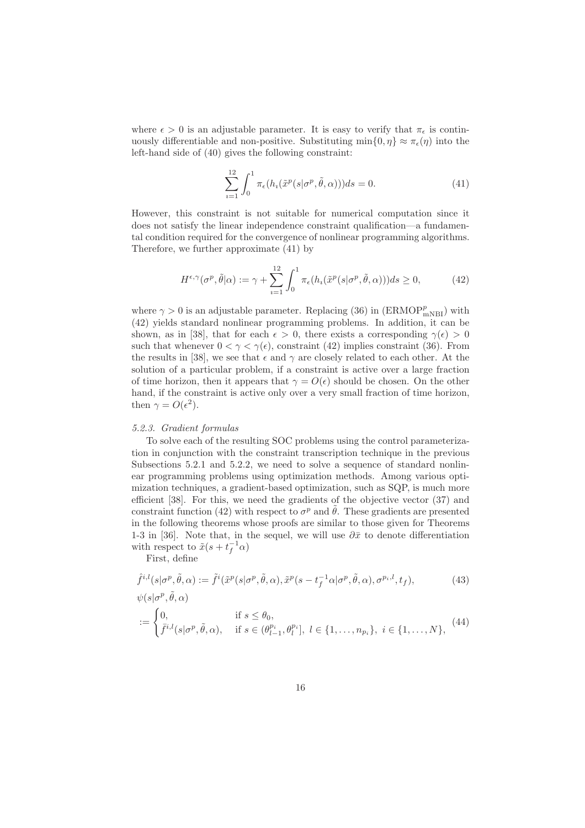where  $\epsilon > 0$  is an adjustable parameter. It is easy to verify that  $\pi_{\epsilon}$  is continuously differentiable and non-positive. Substituting  $\min\{0, \eta\} \approx \pi_{\epsilon}(\eta)$  into the left-hand side of (40) gives the following constraint:

$$
\sum_{i=1}^{12} \int_0^1 \pi_{\epsilon}(h_i(\tilde{x}^p(s|\sigma^p, \tilde{\theta}, \alpha)))ds = 0.
$$
 (41)

However, this constraint is not suitable for numerical computation since it does not satisfy the linear independence constraint qualification—a fundamental condition required for the convergence of nonlinear programming algorithms. Therefore, we further approximate (41) by

$$
H^{\epsilon,\gamma}(\sigma^p, \tilde{\theta}|\alpha) := \gamma + \sum_{i=1}^{12} \int_0^1 \pi_{\epsilon}(h_i(\tilde{x}^p(s|\sigma^p, \tilde{\theta}, \alpha)))ds \ge 0,
$$
 (42)

where  $\gamma > 0$  is an adjustable parameter. Replacing (36) in (ERMOP $_{\rm mNBI}^{p}$ ) with (42) yields standard nonlinear programming problems. In addition, it can be shown, as in [38], that for each  $\epsilon > 0$ , there exists a corresponding  $\gamma(\epsilon) > 0$ such that whenever  $0 < \gamma < \gamma(\epsilon)$ , constraint (42) implies constraint (36). From the results in [38], we see that  $\epsilon$  and  $\gamma$  are closely related to each other. At the solution of a particular problem, if a constraint is active over a large fraction of time horizon, then it appears that  $\gamma = O(\epsilon)$  should be chosen. On the other hand, if the constraint is active only over a very small fraction of time horizon, then  $\gamma = O(\epsilon^2)$ .

#### 5.2.3. Gradient formulas

To solve each of the resulting SOC problems using the control parameterization in conjunction with the constraint transcription technique in the previous Subsections 5.2.1 and 5.2.2, we need to solve a sequence of standard nonlinear programming problems using optimization methods. Among various optimization techniques, a gradient-based optimization, such as SQP, is much more efficient [38]. For this, we need the gradients of the objective vector (37) and constraint function (42) with respect to  $\sigma^p$  and  $\tilde{\theta}$ . These gradients are presented in the following theorems whose proofs are similar to those given for Theorems 1-3 in [36]. Note that, in the sequel, we will use  $\partial \bar{x}$  to denote differentiation with respect to  $\tilde{x}(s+t_f^{-1}\alpha)$ 

First, define

$$
\hat{f}^{i,l}(s|\sigma^p, \tilde{\theta}, \alpha) := \tilde{f}^i(\tilde{x}^p(s|\sigma^p, \tilde{\theta}, \alpha), \tilde{x}^p(s - t_f^{-1}\alpha|\sigma^p, \tilde{\theta}, \alpha), \sigma^{p_i, l}, t_f),
$$
\n
$$
\psi(s|\sigma^p, \tilde{\theta}, \alpha)
$$
\n(43)

$$
:= \begin{cases} 0, & \text{if } s \leq \theta_0, \\ \bar{f}^{i,l}(s|\sigma^p, \tilde{\theta}, \alpha), & \text{if } s \in (\theta_{l-1}^{p_i}, \theta_l^{p_i}], \ l \in \{1, \dots, n_{p_i}\}, \ i \in \{1, \dots, N\}, \end{cases} (44)
$$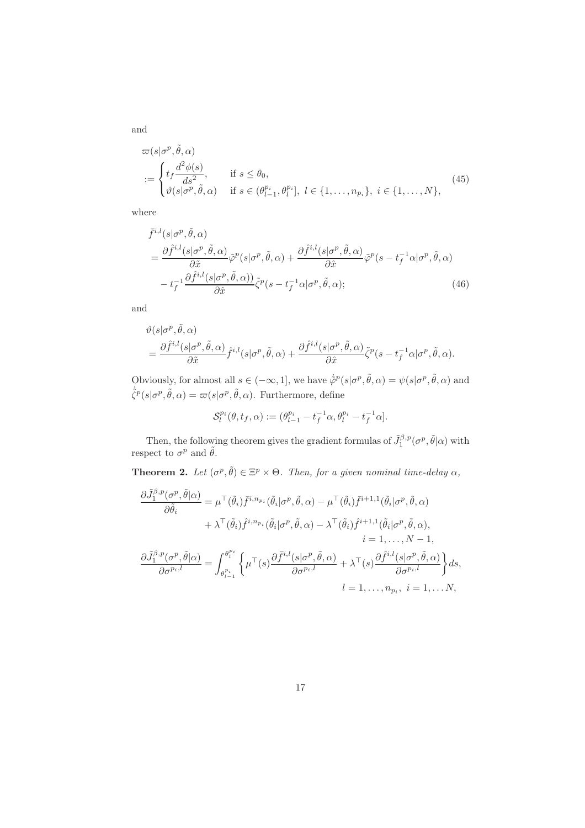$$
\varpi(s|\sigma^p, \tilde{\theta}, \alpha)
$$
  
:= 
$$
\begin{cases} t_f \frac{d^2 \phi(s)}{ds^2}, & \text{if } s \le \theta_0, \\ \vartheta(s|\sigma^p, \tilde{\theta}, \alpha) & \text{if } s \in (\theta_{l-1}^{p_i}, \theta_l^{p_i}], \ l \in \{1, \dots, n_{p_i}\}, \ i \in \{1, \dots, N\}, \end{cases}
$$
(45)

where

$$
\bar{f}^{i,l}(s|\sigma^p, \tilde{\theta}, \alpha) \n= \frac{\partial \hat{f}^{i,l}(s|\sigma^p, \tilde{\theta}, \alpha)}{\partial \tilde{x}} \tilde{\varphi}^p(s|\sigma^p, \tilde{\theta}, \alpha) + \frac{\partial \hat{f}^{i,l}(s|\sigma^p, \tilde{\theta}, \alpha)}{\partial \hat{x}} \tilde{\varphi}^p(s - t_f^{-1} \alpha|\sigma^p, \tilde{\theta}, \alpha) \n- t_f^{-1} \frac{\partial \hat{f}^{i,l}(s|\sigma^p, \tilde{\theta}, \alpha))}{\partial \hat{x}} \tilde{\zeta}^p(s - t_f^{-1} \alpha|\sigma^p, \tilde{\theta}, \alpha);
$$
\n(46)

and

$$
\begin{aligned} &\vartheta(s|\sigma^{p},\tilde{\theta},\alpha)\\ &=\frac{\partial \hat{f}^{i,l}(s|\sigma^{p},\tilde{\theta},\alpha)}{\partial \tilde{x}}\hat{f}^{i,l}(s|\sigma^{p},\tilde{\theta},\alpha)+\frac{\partial \hat{f}^{i,l}(s|\sigma^{p},\tilde{\theta},\alpha)}{\partial \hat{x}}\tilde{\zeta}^{p}(s-t_{f}^{-1}\alpha|\sigma^{p},\tilde{\theta},\alpha). \end{aligned}
$$

Obviously, for almost all  $s \in (-\infty, 1]$ , we have  $\dot{\tilde{\varphi}}^p(s|\sigma^p, \tilde{\theta}, \alpha) = \psi(s|\sigma^p, \tilde{\theta}, \alpha)$  and  $\dot{\tilde{\zeta}}^p(s|\sigma^p, \tilde{\theta}, \alpha) = \varpi(s|\sigma^p, \tilde{\theta}, \alpha)$ . Furthermore, define

$$
\mathcal{S}_l^{p_i}(\theta, t_f, \alpha) := (\theta_{l-1}^{p_i} - t_f^{-1} \alpha, \theta_l^{p_i} - t_f^{-1} \alpha].
$$

Then, the following theorem gives the gradient formulas of  $\tilde{J}_1^{\beta,p}(\sigma^p, \tilde{\theta}|\alpha)$  with respect to  $\sigma^p$  and  $\tilde{\theta}$ .

**Theorem 2.** Let  $(\sigma^p, \tilde{\theta}) \in \Xi^p \times \Theta$ . Then, for a given nominal time-delay  $\alpha$ ,

$$
\frac{\partial \tilde{J}_{1}^{\beta,p}(\sigma^{p},\tilde{\theta}|\alpha)}{\partial \tilde{\theta}_{i}} = \mu^{\top}(\tilde{\theta}_{i})\bar{f}^{i,n_{p_{i}}}(\tilde{\theta}_{i}|\sigma^{p},\tilde{\theta},\alpha) - \mu^{\top}(\tilde{\theta}_{i})\bar{f}^{i+1,1}(\tilde{\theta}_{i}|\sigma^{p},\tilde{\theta},\alpha) \n+ \lambda^{\top}(\tilde{\theta}_{i})\hat{f}^{i,n_{p_{i}}}(\tilde{\theta}_{i}|\sigma^{p},\tilde{\theta},\alpha) - \lambda^{\top}(\tilde{\theta}_{i})\hat{f}^{i+1,1}(\tilde{\theta}_{i}|\sigma^{p},\tilde{\theta},\alpha), \n i = 1,..., N - 1, \n\frac{\partial \tilde{J}_{1}^{\beta,p}(\sigma^{p},\tilde{\theta}|\alpha)}{\partial \sigma^{p_{i},l}} = \int_{\theta_{l-1}^{p_{i}}}^{\theta_{l}^{p_{i}}} \left\{ \mu^{\top}(s) \frac{\partial \bar{f}^{i,l}(s|\sigma^{p},\tilde{\theta},\alpha)}{\partial \sigma^{p_{i},l}} + \lambda^{\top}(s) \frac{\partial \hat{f}^{i,l}(s|\sigma^{p},\tilde{\theta},\alpha)}{\partial \sigma^{p_{i},l}} \right\} ds, \n l = 1,..., n_{p_{i}}, i = 1,..., N,
$$

17

and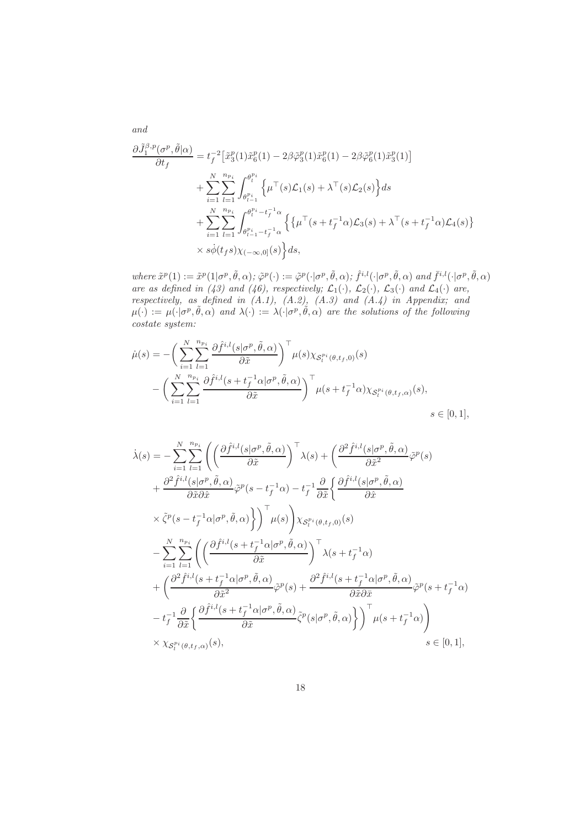$$
\frac{\partial \tilde{J}_{1}^{\beta,p}(\sigma^{p},\tilde{\theta}|\alpha)}{\partial t_{f}} = t_{f}^{-2} \left[ \tilde{x}_{3}^{p}(1)\tilde{x}_{6}^{p}(1) - 2\beta \tilde{\varphi}_{3}^{p}(1)\tilde{x}_{6}^{p}(1) - 2\beta \tilde{\varphi}_{6}^{p}(1)\tilde{x}_{3}^{p}(1) \right] \n+ \sum_{i=1}^{N} \sum_{l=1}^{n_{p_{i}}} \int_{\theta_{l-1}^{p_{i}}}^{\theta_{l}^{p_{i}}} \left\{ \mu^{\top}(s)\mathcal{L}_{1}(s) + \lambda^{\top}(s)\mathcal{L}_{2}(s) \right\} ds \n+ \sum_{i=1}^{N} \sum_{l=1}^{n_{p_{i}}} \int_{\theta_{l-1}^{p_{i}} - t_{f}^{-1}\alpha}^{\theta_{l}^{p_{i}} - t_{f}^{-1}\alpha} \left\{ \left\{ \mu^{\top}(s + t_{f}^{-1}\alpha)\mathcal{L}_{3}(s) + \lambda^{\top}(s + t_{f}^{-1}\alpha)\mathcal{L}_{4}(s) \right\} \right. \n\times s\dot{\phi}(t_{f}s) \chi_{(-\infty,0]}(s) \right\} ds,
$$

where  $\tilde{x}^p(1) := \tilde{x}^p(1|\sigma^p, \tilde{\theta}, \alpha); \tilde{\varphi}^p(\cdot) := \tilde{\varphi}^p(\cdot|\sigma^p, \tilde{\theta}, \alpha); \hat{f}^{i,l}(\cdot|\sigma^p, \tilde{\theta}, \alpha)$  and  $\bar{f}^{i,l}(\cdot|\sigma^p, \tilde{\theta}, \alpha)$ are as defined in (43) and (46), respectively;  $\mathcal{L}_1(\cdot)$ ,  $\mathcal{L}_2(\cdot)$ ,  $\mathcal{L}_3(\cdot)$  and  $\mathcal{L}_4(\cdot)$  are, respectively, as defined in  $(A.1)$ ,  $(A.2)$ ,  $(A.3)$  and  $(A.4)$  in Appendix; and  $\mu(\cdot) := \mu(\cdot | \sigma^p, \tilde{\theta}, \alpha)$  and  $\lambda(\cdot) := \lambda(\cdot | \sigma^p, \tilde{\theta}, \alpha)$  are the solutions of the following costate system:

$$
\dot{\mu}(s) = -\left(\sum_{i=1}^{N} \sum_{l=1}^{n_{p_i}} \frac{\partial \hat{f}^{i,l}(s | \sigma^p, \tilde{\theta}, \alpha)}{\partial \tilde{x}}\right)^{\top} \mu(s) \chi_{\mathcal{S}_l^{p_i}(\theta, t_f, 0)}(s)
$$

$$
-\left(\sum_{i=1}^{N} \sum_{l=1}^{n_{p_i}} \frac{\partial \hat{f}^{i,l}(s + t_f^{-1} \alpha | \sigma^p, \tilde{\theta}, \alpha)}{\partial \tilde{x}}\right)^{\top} \mu(s + t_f^{-1} \alpha) \chi_{\mathcal{S}_l^{p_i}(\theta, t_f, \alpha)}(s),
$$

$$
s \in [0, 1],
$$

$$
\dot{\lambda}(s) = -\sum_{i=1}^{N} \sum_{l=1}^{n_{pi}} \left( \left( \frac{\partial \hat{f}^{i,l}(s|\sigma^{p}, \tilde{\theta}, \alpha)}{\partial \tilde{x}} \right)^{\top} \lambda(s) + \left( \frac{\partial^{2} \hat{f}^{i,l}(s|\sigma^{p}, \tilde{\theta}, \alpha)}{\partial \tilde{x}^{2}} \tilde{\varphi}^{p}(s) \right) \n+ \frac{\partial^{2} \hat{f}^{i,l}(s|\sigma^{p}, \tilde{\theta}, \alpha)}{\partial \tilde{x} \partial \hat{x}} \tilde{\varphi}^{p}(s - t_{f}^{-1} \alpha) - t_{f}^{-1} \frac{\partial}{\partial \tilde{x}} \left\{ \frac{\partial \hat{f}^{i,l}(s|\sigma^{p}, \tilde{\theta}, \alpha)}{\partial \hat{x}} \right. \n\times \tilde{\zeta}^{p}(s - t_{f}^{-1} \alpha|\sigma^{p}, \tilde{\theta}, \alpha) \right\} \right) \uparrow \mu(s) \bigg) \chi_{S_{l}^{pi}(\theta, t_{f}, 0)}(s) \n- \sum_{i=1}^{N} \sum_{l=1}^{n_{pi}} \left( \left( \frac{\partial \hat{f}^{i,l}(s + t_{f}^{-1} \alpha|\sigma^{p}, \tilde{\theta}, \alpha)}{\partial \tilde{x}} \right)^{\top} \lambda(s + t_{f}^{-1} \alpha) \n+ \left( \frac{\partial^{2} \hat{f}^{i,l}(s + t_{f}^{-1} \alpha|\sigma^{p}, \tilde{\theta}, \alpha)}{\partial \tilde{x}^{2}} \tilde{\varphi}^{p}(s) + \frac{\partial^{2} \hat{f}^{i,l}(s + t_{f}^{-1} \alpha|\sigma^{p}, \tilde{\theta}, \alpha)}{\partial \tilde{x} \partial \tilde{x}} \tilde{\varphi}^{p}(s + t_{f}^{-1} \alpha) \n- t_{f}^{-1} \frac{\partial}{\partial \tilde{x}} \left\{ \frac{\partial \hat{f}^{i,l}(s + t_{f}^{-1} \alpha|\sigma^{p}, \tilde{\theta}, \alpha)}{\partial \tilde{x}} \tilde{\zeta}^{p}(s|\sigma^{p}, \tilde{\theta}, \alpha) \right\} \right) \uparrow \mu(s + t_{f}^{-1} \alpha) \bigg) \n\times \chi_{S_{l}^{pi}(\theta, t_{f}, \alpha)}(s), \q
$$

and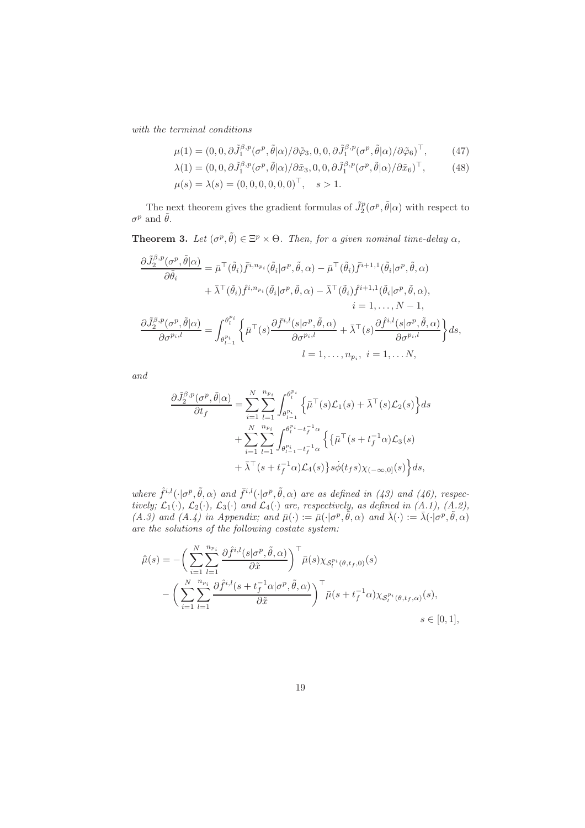with the terminal conditions

$$
\mu(1) = (0, 0, \partial \tilde{J}_1^{\beta, p}(\sigma^p, \tilde{\theta} | \alpha) / \partial \tilde{\varphi}_3, 0, 0, \partial \tilde{J}_1^{\beta, p}(\sigma^p, \tilde{\theta} | \alpha) / \partial \tilde{\varphi}_6)^\top, \tag{47}
$$

$$
\lambda(1) = (0, 0, \partial \tilde{J}_1^{\beta, p}(\sigma^p, \tilde{\theta}|\alpha)/\partial \tilde{x}_3, 0, 0, \partial \tilde{J}_1^{\beta, p}(\sigma^p, \tilde{\theta}|\alpha)/\partial \tilde{x}_6)^{\top}, \tag{48}
$$

$$
\mu(s) = \lambda(s) = (0, 0, 0, 0, 0, 0)^{\top}, \quad s > 1.
$$

The next theorem gives the gradient formulas of  $\tilde{J}_2^p(\sigma^p, \tilde{\theta}|\alpha)$  with respect to  $\sigma^p$  and  $\tilde{\theta}$ .

**Theorem 3.** Let  $(\sigma^p, \tilde{\theta}) \in \Xi^p \times \Theta$ . Then, for a given nominal time-delay  $\alpha$ ,

$$
\frac{\partial \tilde{J}_{2}^{\beta,p}(\sigma^{p},\tilde{\theta}|\alpha)}{\partial \tilde{\theta}_{i}} = \bar{\mu}^{\top}(\tilde{\theta}_{i})\bar{f}^{i,n_{p_{i}}}(\tilde{\theta}_{i}|\sigma^{p},\tilde{\theta},\alpha) - \bar{\mu}^{\top}(\tilde{\theta}_{i})\bar{f}^{i+1,1}(\tilde{\theta}_{i}|\sigma^{p},\tilde{\theta},\alpha) \n+ \bar{\lambda}^{\top}(\tilde{\theta}_{i})\hat{f}^{i,n_{p_{i}}}(\tilde{\theta}_{i}|\sigma^{p},\tilde{\theta},\alpha) - \bar{\lambda}^{\top}(\tilde{\theta}_{i})\hat{f}^{i+1,1}(\tilde{\theta}_{i}|\sigma^{p},\tilde{\theta},\alpha), \n= 1, ..., N - 1, \n\frac{\partial \tilde{J}_{2}^{\beta,p}(\sigma^{p},\tilde{\theta}|\alpha)}{\partial \sigma^{p_{i},l}} = \int_{\theta_{l-1}^{p_{i}}}^{\theta_{l}^{p_{i}}} \left\{ \bar{\mu}^{\top}(s) \frac{\partial \bar{f}^{i,l}(s|\sigma^{p},\tilde{\theta},\alpha)}{\partial \sigma^{p_{i},l}} + \bar{\lambda}^{\top}(s) \frac{\partial \hat{f}^{i,l}(s|\sigma^{p},\tilde{\theta},\alpha)}{\partial \sigma^{p_{i},l}} \right\} ds, \n= 1, ..., n_{p_{i}}, i = 1, ..., N,
$$

and

$$
\frac{\partial \tilde{J}_{2}^{\beta,p}(\sigma^{p},\tilde{\theta}|\alpha)}{\partial t_{f}} = \sum_{i=1}^{N} \sum_{l=1}^{n_{p_{i}}} \int_{\theta_{l-1}^{p_{i}}}^{\theta_{l}^{p_{i}}} \left\{ \bar{\mu}^{\top}(s)\mathcal{L}_{1}(s) + \bar{\lambda}^{\top}(s)\mathcal{L}_{2}(s) \right\} ds \n+ \sum_{i=1}^{N} \sum_{l=1}^{n_{p_{i}}} \int_{\theta_{l-1}^{p_{i}} - t_{f}^{-1} \alpha}^{\theta_{l}^{p_{i}} - t_{f}^{-1} \alpha} \left\{ \left\{ \bar{\mu}^{\top}(s + t_{f}^{-1}\alpha)\mathcal{L}_{3}(s) \right. \right. \n+ \bar{\lambda}^{\top}(s + t_{f}^{-1}\alpha)\mathcal{L}_{4}(s) \right\} s\dot{\phi}(t_{f}s) \chi_{(-\infty,0]}(s) \left\} ds,
$$

where  $\hat{f}^{i,l}(\cdot|\sigma^p, \tilde{\theta}, \alpha)$  and  $\bar{f}^{i,l}(\cdot|\sigma^p, \tilde{\theta}, \alpha)$  are as defined in (43) and (46), respectively;  $\mathcal{L}_1(\cdot)$ ,  $\mathcal{L}_2(\cdot)$ ,  $\mathcal{L}_3(\cdot)$  and  $\mathcal{L}_4(\cdot)$  are, respectively, as defined in (A.1), (A.2), (A.3) and (A.4) in Appendix; and  $\bar{\mu}(\cdot) := \bar{\mu}(\cdot | \sigma^p, \tilde{\theta}, \alpha)$  and  $\bar{\lambda}(\cdot) := \bar{\lambda}(\cdot | \sigma^p, \tilde{\theta}, \alpha)$ are the solutions of the following costate system:

$$
\dot{\bar{\mu}}(s) = -\left(\sum_{i=1}^{N} \sum_{l=1}^{n_{p_i}} \frac{\partial \hat{f}^{i,l}(s | \sigma^p, \tilde{\theta}, \alpha)}{\partial \tilde{x}}\right)^{\top} \bar{\mu}(s) \chi_{\mathcal{S}_l^{p_i}(\theta, t_f, 0)}(s)
$$

$$
-\left(\sum_{i=1}^{N} \sum_{l=1}^{n_{p_i}} \frac{\partial \hat{f}^{i,l}(s + t_f^{-1} \alpha | \sigma^p, \tilde{\theta}, \alpha)}{\partial \tilde{x}}\right)^{\top} \bar{\mu}(s + t_f^{-1} \alpha) \chi_{\mathcal{S}_l^{p_i}(\theta, t_f, \alpha)}(s),
$$

$$
s \in [0, 1],
$$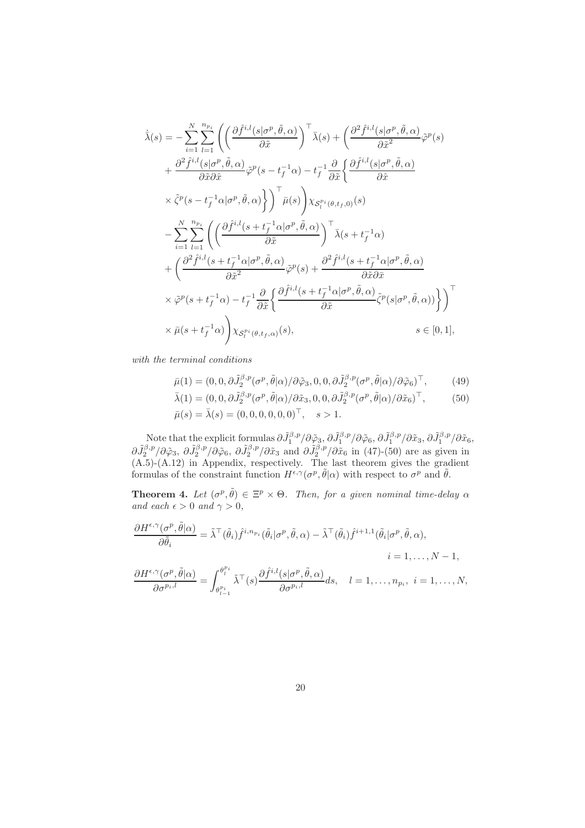$$
\begin{split}\n\dot{\bar{\lambda}}(s) &= -\sum_{i=1}^{N} \sum_{l=1}^{n_{p_i}} \left( \left( \frac{\partial \hat{f}^{i,l}(s|\sigma^p, \tilde{\theta}, \alpha)}{\partial \tilde{x}} \right)^{\top} \bar{\lambda}(s) + \left( \frac{\partial^2 \hat{f}^{i,l}(s|\sigma^p, \tilde{\theta}, \alpha)}{\partial \tilde{x}^2} \tilde{\varphi}^p(s) \right) \\
&+ \frac{\partial^2 \hat{f}^{i,l}(s|\sigma^p, \tilde{\theta}, \alpha)}{\partial \tilde{x} \partial \hat{x}} \tilde{\varphi}^p(s - t_f^{-1} \alpha) - t_f^{-1} \frac{\partial}{\partial \tilde{x}} \left\{ \frac{\partial \hat{f}^{i,l}(s|\sigma^p, \tilde{\theta}, \alpha)}{\partial \hat{x}} \right. \\
&\times \tilde{\zeta}^p(s - t_f^{-1} \alpha|\sigma^p, \tilde{\theta}, \alpha) \right\} \right\} \bar{\mu}(s) \left) \chi_{\mathcal{S}_l^{pi}(\theta, t_f, 0)}(s) \\
&- \sum_{i=1}^{N} \sum_{l=1}^{n_{p_i}} \left( \left( \frac{\partial \hat{f}^{i,l}(s + t_f^{-1} \alpha|\sigma^p, \tilde{\theta}, \alpha)}{\partial \tilde{x}} \right)^{\top} \bar{\lambda}(s + t_f^{-1} \alpha) \right. \\
&+ \left( \frac{\partial^2 \hat{f}^{i,l}(s + t_f^{-1} \alpha|\sigma^p, \tilde{\theta}, \alpha)}{\partial \tilde{x}^2} \tilde{\varphi}^p(s) + \frac{\partial^2 \hat{f}^{i,l}(s + t_f^{-1} \alpha|\sigma^p, \tilde{\theta}, \alpha)}{\partial \tilde{x} \partial \tilde{x}} \right. \\
& \times \tilde{\varphi}^p(s + t_f^{-1} \alpha) - t_f^{-1} \frac{\partial}{\partial \tilde{x}} \left\{ \frac{\partial \hat{f}^{i,l}(s + t_f^{-1} \alpha|\sigma^p, \tilde{\theta}, \alpha)}{\partial \tilde{x}} \tilde{\zeta}^p(s|\sigma^p, \tilde{\theta}, \alpha) \right\} \right\} \right\} \times \bar{\mu}(s + t_f^{-1} \alpha) \bigg) \chi_{\mathcal{S}_l^{pi}(\theta, t_f, \alpha)}(s), \qquad s \in [0
$$

with the terminal conditions

$$
\bar{\mu}(1) = (0, 0, \partial \tilde{J}_2^{\beta, p}(\sigma^p, \tilde{\theta}|\alpha)/\partial \tilde{\varphi}_3, 0, 0, \partial \tilde{J}_2^{\beta, p}(\sigma^p, \tilde{\theta}|\alpha)/\partial \tilde{\varphi}_6)^\top, \tag{49}
$$

$$
\bar{\lambda}(1) = (0, 0, \partial \tilde{J}_2^{\beta, p} (\sigma^p, \tilde{\theta} | \alpha) / \partial \tilde{x}_3, 0, 0, \partial \tilde{J}_2^{\beta, p} (\sigma^p, \tilde{\theta} | \alpha) / \partial \tilde{x}_6)^\top, \qquad (50)
$$
  

$$
\bar{\mu}(s) = \bar{\lambda}(s) = (0, 0, 0, 0, 0, 0)^\top, \quad s > 1.
$$

Note that the explicit formulas  $\partial \tilde{J}_1^{\beta,p} / \partial \tilde{\varphi}_3$ ,  $\partial \tilde{J}_1^{\beta,p} / \partial \tilde{\varphi}_6$ ,  $\partial \tilde{J}_1^{\beta,p} / \partial \tilde{x}_3$ ,  $\partial \tilde{J}_1^{\beta,p} / \partial \tilde{x}_6$ ,  $\partial \tilde{J}_2^{\beta,p}/\partial \tilde{\varphi}_3$ ,  $\partial \tilde{J}_2^{\beta,p}/\partial \tilde{\varphi}_6$ ,  $\partial \tilde{J}_2^{\beta,p}/\partial \tilde{x}_3$  and  $\partial \tilde{J}_2^{\beta,p}/\partial \tilde{x}_6$  in (47)-(50) are as given in (A.5)-(A.12) in Appendix, respectively. The last theorem gives the gradient formulas of the constraint function  $H^{\epsilon,\gamma}(\sigma^p,\tilde{\theta}|\alpha)$  with respect to  $\sigma^p$  and  $\tilde{\theta}$ .

**Theorem 4.** Let  $(\sigma^p, \tilde{\theta}) \in \Xi^p \times \Theta$ . Then, for a given nominal time-delay  $\alpha$ and each  $\epsilon > 0$  and  $\gamma > 0$ ,

$$
\frac{\partial H^{\epsilon,\gamma}(\sigma^p, \tilde{\theta}|\alpha)}{\partial \tilde{\theta}_i} = \tilde{\lambda}^\top(\tilde{\theta}_i) \hat{f}^{i, n_{p_i}}(\tilde{\theta}_i|\sigma^p, \tilde{\theta}, \alpha) - \tilde{\lambda}^\top(\tilde{\theta}_i) \hat{f}^{i+1,1}(\tilde{\theta}_i|\sigma^p, \tilde{\theta}, \alpha),
$$
  
\n
$$
i = 1, \dots, N-1,
$$
  
\n
$$
\frac{\partial H^{\epsilon,\gamma}(\sigma^p, \tilde{\theta}|\alpha)}{\partial \sigma^{p_i, l}} = \int_{\theta_{l-1}^{p_i}}^{\theta_l^{p_i}} \tilde{\lambda}^\top(s) \frac{\partial \hat{f}^{i, l}(s|\sigma^p, \tilde{\theta}, \alpha)}{\partial \sigma^{p_i, l}} ds, \quad l = 1, \dots, n_{p_i}, \quad i = 1, \dots, N,
$$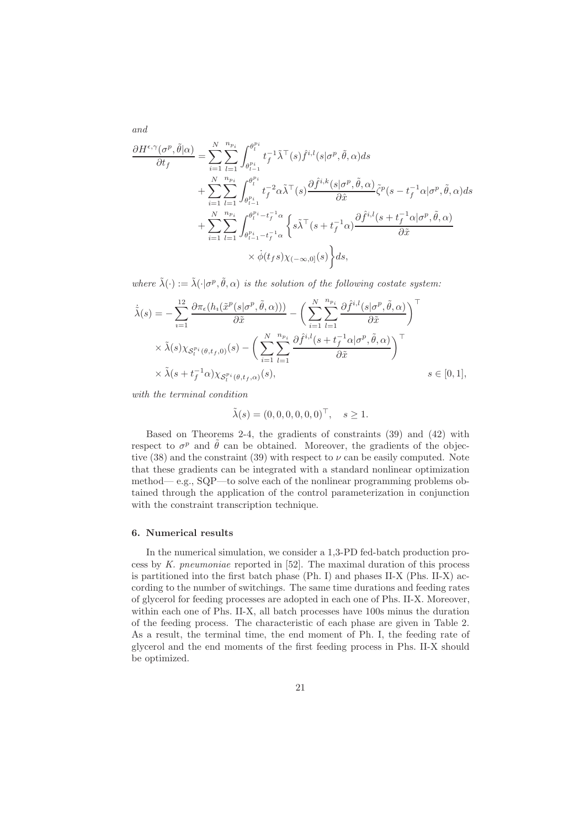$$
\frac{\partial H^{\epsilon,\gamma}(\sigma^{p},\tilde{\theta}|\alpha)}{\partial t_{f}} = \sum_{i=1}^{N} \sum_{l=1}^{n_{p_{i}}} \int_{\theta_{l-1}^{p_{i}}}^{\theta_{l}^{p_{i}}} t_{f}^{-1} \tilde{\lambda}^{\top}(s) \hat{f}^{i,l}(s | \sigma^{p}, \tilde{\theta}, \alpha) ds \n+ \sum_{i=1}^{N} \sum_{l=1}^{n_{p_{i}}} \int_{\theta_{l-1}^{p_{i}}}^{\theta_{l}^{p_{i}}} t_{f}^{-2} \alpha \tilde{\lambda}^{\top}(s) \frac{\partial \hat{f}^{i,k}(s | \sigma^{p}, \tilde{\theta}, \alpha)}{\partial \hat{x}} \tilde{\zeta}^{p}(s - t_{f}^{-1} \alpha | \sigma^{p}, \tilde{\theta}, \alpha) ds \n+ \sum_{i=1}^{N} \sum_{l=1}^{n_{p_{i}}} \int_{\theta_{l-1}^{p_{i}} - t_{f}^{-1} \alpha}^{\theta_{l}^{p_{i}} - t_{f}^{-1} \alpha} \left\{ s \tilde{\lambda}^{\top}(s + t_{f}^{-1} \alpha) \frac{\partial \hat{f}^{i,l}(s + t_{f}^{-1} \alpha | \sigma^{p}, \tilde{\theta}, \alpha)}{\partial \tilde{x}} \right. \n\times \dot{\phi}(t_{f}s) \chi_{(-\infty,0]}(s) \right\} ds,
$$

where  $\tilde{\lambda}(\cdot) := \tilde{\lambda}(\cdot | \sigma^p, \tilde{\theta}, \alpha)$  is the solution of the following costate system:

$$
\dot{\tilde{\lambda}}(s) = -\sum_{i=1}^{12} \frac{\partial \pi_{\epsilon}(h_i(\tilde{x}^p(s|\sigma^p, \tilde{\theta}, \alpha)))}{\partial \tilde{x}} - \left(\sum_{i=1}^{N} \sum_{l=1}^{n_{pi}} \frac{\partial \hat{f}^{i,l}(s|\sigma^p, \tilde{\theta}, \alpha)}{\partial \tilde{x}}\right)^{\top} \times \tilde{\lambda}(s) \chi_{\mathcal{S}_l^{pi}(\theta, t_f, 0)}(s) - \left(\sum_{i=1}^{N} \sum_{l=1}^{n_{pi}} \frac{\partial \hat{f}^{i,l}(s+t_f^{-1}(\alpha|\sigma^p, \tilde{\theta}, \alpha))}{\partial \tilde{x}}\right)^{\top} \times \tilde{\lambda}(s+t_f^{-1}(\alpha)) \chi_{\mathcal{S}_l^{pi}(\theta, t_f, \alpha)}(s), \qquad s \in [0, 1],
$$

with the terminal condition

and

$$
\tilde{\lambda}(s) = (0, 0, 0, 0, 0, 0)^{\top}, \quad s \ge 1.
$$

Based on Theorems 2-4, the gradients of constraints (39) and (42) with respect to  $\sigma^p$  and  $\tilde{\theta}$  can be obtained. Moreover, the gradients of the objective (38) and the constraint (39) with respect to  $\nu$  can be easily computed. Note that these gradients can be integrated with a standard nonlinear optimization method— e.g., SQP—to solve each of the nonlinear programming problems obtained through the application of the control parameterization in conjunction with the constraint transcription technique.

#### 6. Numerical results

In the numerical simulation, we consider a 1,3-PD fed-batch production process by K. pneumoniae reported in [52]. The maximal duration of this process is partitioned into the first batch phase  $(Ph. I)$  and phases II-X  $(Phs. II-X)$  according to the number of switchings. The same time durations and feeding rates of glycerol for feeding processes are adopted in each one of Phs. II-X. Moreover, within each one of Phs. II-X, all batch processes have 100s minus the duration of the feeding process. The characteristic of each phase are given in Table 2. As a result, the terminal time, the end moment of Ph. I, the feeding rate of glycerol and the end moments of the first feeding process in Phs. II-X should be optimized.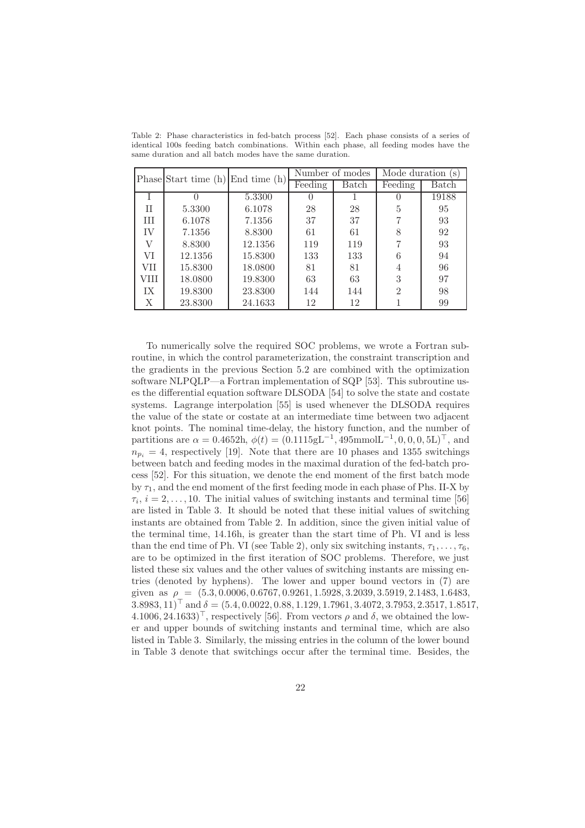|      | Phase Start time $(h)$ End time $(h)$ |         | Number of modes |       | Mode duration<br>(S) |       |
|------|---------------------------------------|---------|-----------------|-------|----------------------|-------|
|      |                                       |         | Feeding         | Batch | Feeding              | Batch |
|      |                                       | 5.3300  |                 |       |                      | 19188 |
| H    | 5.3300                                | 6.1078  | 28              | 28    | 5                    | 95    |
| Ш    | 6.1078                                | 7.1356  | 37              | 37    | 7                    | 93    |
| IV   | 7.1356                                | 8.8300  | 61              | 61    |                      | 92    |
| V    | 8.8300                                | 12.1356 | 119             | 119   |                      | 93    |
| VI   | 12.1356                               | 15.8300 | 133             | 133   |                      | 94    |
| VII  | 15.8300                               | 18.0800 | 81              | 81    | 4                    | 96    |
| VIII | 18.0800                               | 19.8300 | 63              | 63    | 3                    | 97    |
| IХ   | 19.8300                               | 23.8300 | 144             | 144   | $\mathfrak{D}$       | 98    |
| Χ    | 23.8300                               | 24.1633 | 12              | 12    |                      | 99    |

Table 2: Phase characteristics in fed-batch process [52]. Each phase consists of a series of identical 100s feeding batch combinations. Within each phase, all feeding modes have the same duration and all batch modes have the same duration.

To numerically solve the required SOC problems, we wrote a Fortran subroutine, in which the control parameterization, the constraint transcription and the gradients in the previous Section 5.2 are combined with the optimization software NLPQLP—a Fortran implementation of SQP [53]. This subroutine uses the differential equation software DLSODA [54] to solve the state and costate systems. Lagrange interpolation [55] is used whenever the DLSODA requires the value of the state or costate at an intermediate time between two adjacent knot points. The nominal time-delay, the history function, and the number of partitions are  $\alpha = 0.4652$ h,  $\phi(t) = (0.1115gL^{-1}, 495$ mmol $L^{-1}, 0, 0, 0, 5L$ <sup>T</sup>, and  $n_{p_i} = 4$ , respectively [19]. Note that there are 10 phases and 1355 switchings between batch and feeding modes in the maximal duration of the fed-batch process [52]. For this situation, we denote the end moment of the first batch mode by  $\tau_1$ , and the end moment of the first feeding mode in each phase of Phs. II-X by  $\tau_i$ ,  $i = 2, \ldots, 10$ . The initial values of switching instants and terminal time [56] are listed in Table 3. It should be noted that these initial values of switching instants are obtained from Table 2. In addition, since the given initial value of the terminal time, 14.16h, is greater than the start time of Ph. VI and is less than the end time of Ph. VI (see Table 2), only six switching instants,  $\tau_1, \ldots, \tau_6$ , are to be optimized in the first iteration of SOC problems. Therefore, we just listed these six values and the other values of switching instants are missing entries (denoted by hyphens). The lower and upper bound vectors in (7) are given as  $\rho = (5.3, 0.0006, 0.6767, 0.9261, 1.5928, 3.2039, 3.5919, 2.1483, 1.6483,$  $3.8983, 11$ <sup>T</sup> and  $\delta = (5.4, 0.0022, 0.88, 1.129, 1.7961, 3.4072, 3.7953, 2.3517, 1.8517,$  $4.1006, 24.1633$ <sup>T</sup>, respectively [56]. From vectors  $\rho$  and  $\delta$ , we obtained the lower and upper bounds of switching instants and terminal time, which are also listed in Table 3. Similarly, the missing entries in the column of the lower bound in Table 3 denote that switchings occur after the terminal time. Besides, the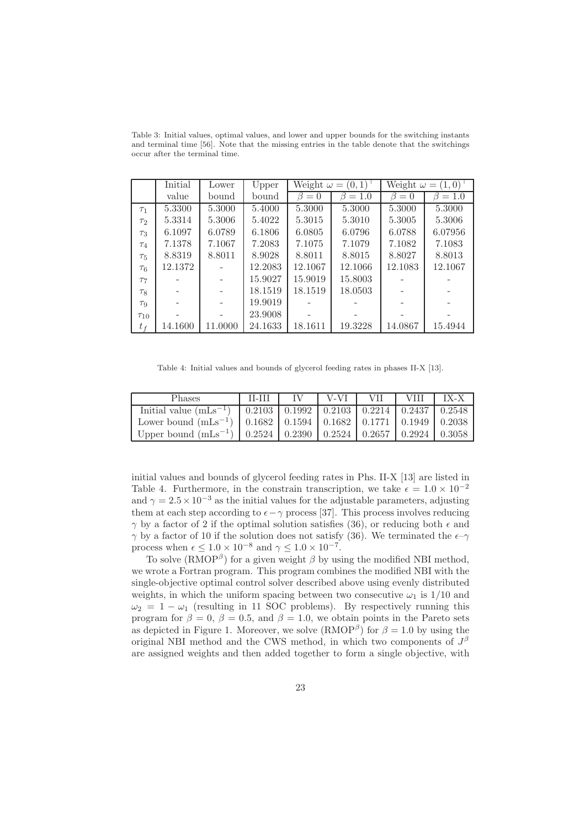Table 3: Initial values, optimal values, and lower and upper bounds for the switching instants and terminal time [56]. Note that the missing entries in the table denote that the switchings occur after the terminal time.

|                     | Initial | Lower   | Upper   | Weight $\omega = (0,1)$ |              | Weight $\omega = (1,0)$ |               |  |
|---------------------|---------|---------|---------|-------------------------|--------------|-------------------------|---------------|--|
|                     | value   | bound   | bound   | $\beta=0$               | $= 1.0$<br>ß | $= 0$<br>ß              | $= 1.0$<br>17 |  |
| $\tau_1$            | 5.3300  | 5.3000  | 5.4000  | 5.3000                  | 5.3000       | 5.3000                  | 5.3000        |  |
| $\tau$ <sub>2</sub> | 5.3314  | 5.3006  | 5.4022  | 5.3015                  | 5.3010       | 5.3005                  | 5.3006        |  |
| $\tau_3$            | 6.1097  | 6.0789  | 6.1806  | 6.0805                  | 6.0796       | 6.0788                  | 6.07956       |  |
| $\tau_4$            | 7.1378  | 7.1067  | 7.2083  | 7.1075                  | 7.1079       | 7.1082                  | 7.1083        |  |
| $\tau_{5}$          | 8.8319  | 8.8011  | 8.9028  | 8.8011                  | 8.8015       | 8.8027                  | 8.8013        |  |
| $\tau_6$            | 12.1372 |         | 12.2083 | 12.1067                 | 12.1066      | 12.1083                 | 12.1067       |  |
| T <sub>7</sub>      |         |         | 15.9027 | 15.9019                 | 15.8003      |                         |               |  |
| $\tau_8$            |         |         | 18.1519 | 18.1519                 | 18.0503      |                         |               |  |
| $\tau_9$            |         |         | 19.9019 |                         |              |                         |               |  |
| $\tau_{10}$         |         |         | 23.9008 |                         |              |                         |               |  |
| $t_f$               | 14.1600 | 11.0000 | 24.1633 | 18.1611                 | 19.3228      | 14.0867                 | 15.4944       |  |

Table 4: Initial values and bounds of glycerol feeding rates in phases II-X [13].

| <b>Phases</b>                                                                    | $II-III$ | V-VI L VII | <b>VIII</b> | $IX - X$ |
|----------------------------------------------------------------------------------|----------|------------|-------------|----------|
| Initial value $(mLs^{-1})$   0.2103   0.1992   0.2103   0.2214   0.2437   0.2548 |          |            |             |          |
| Lower bound $(mLs^{-1})$   0.1682   0.1594   0.1682   0.1771   0.1949   0.2038   |          |            |             |          |
| Upper bound $(mLs^{-1})$   0.2524   0.2390   0.2524   0.2657   0.2924   0.3058   |          |            |             |          |

initial values and bounds of glycerol feeding rates in Phs. II-X [13] are listed in Table 4. Furthermore, in the constrain transcription, we take  $\epsilon = 1.0 \times 10^{-2}$ and  $\gamma = 2.5 \times 10^{-3}$  as the initial values for the adjustable parameters, adjusting them at each step according to  $\epsilon - \gamma$  process [37]. This process involves reducing  $γ$  by a factor of 2 if the optimal solution satisfies (36), or reducing both  $ε$  and  $γ$  by a factor of 10 if the solution does not satisfy (36). We terminated the  $ε-γ$ process when  $\epsilon \leq 1.0 \times 10^{-8}$  and  $\gamma \leq 1.0 \times 10^{-7}$ .

To solve (RMOP<sup> $\beta$ </sup>) for a given weight  $\beta$  by using the modified NBI method, we wrote a Fortran program. This program combines the modified NBI with the single-objective optimal control solver described above using evenly distributed weights, in which the uniform spacing between two consecutive  $\omega_1$  is 1/10 and  $\omega_2 = 1 - \omega_1$  (resulting in 11 SOC problems). By respectively running this program for  $\beta = 0$ ,  $\beta = 0.5$ , and  $\beta = 1.0$ , we obtain points in the Pareto sets as depicted in Figure 1. Moreover, we solve  $(RMOP^{\beta})$  for  $\beta = 1.0$  by using the original NBI method and the CWS method, in which two components of  $J^{\beta}$ are assigned weights and then added together to form a single objective, with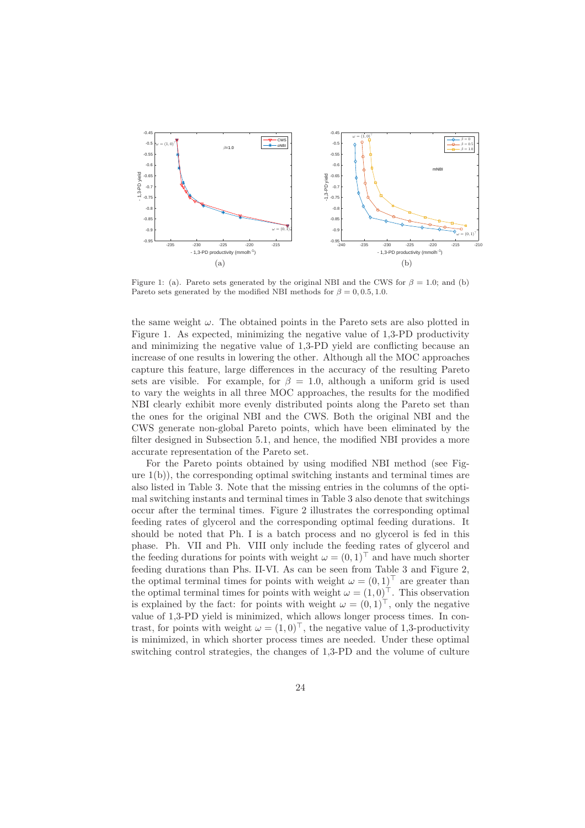

Figure 1: (a). Pareto sets generated by the original NBI and the CWS for  $\beta = 1.0$ ; and (b) Pareto sets generated by the modified NBI methods for  $\beta = 0, 0.5, 1.0$ .

the same weight  $\omega$ . The obtained points in the Pareto sets are also plotted in Figure 1. As expected, minimizing the negative value of 1,3-PD productivity and minimizing the negative value of 1,3-PD yield are conflicting because an increase of one results in lowering the other. Although all the MOC approaches capture this feature, large differences in the accuracy of the resulting Pareto sets are visible. For example, for  $\beta = 1.0$ , although a uniform grid is used to vary the weights in all three MOC approaches, the results for the modified NBI clearly exhibit more evenly distributed points along the Pareto set than the ones for the original NBI and the CWS. Both the original NBI and the CWS generate non-global Pareto points, which have been eliminated by the filter designed in Subsection 5.1, and hence, the modified NBI provides a more accurate representation of the Pareto set.

For the Pareto points obtained by using modified NBI method (see Figure 1(b)), the corresponding optimal switching instants and terminal times are also listed in Table 3. Note that the missing entries in the columns of the optimal switching instants and terminal times in Table 3 also denote that switchings occur after the terminal times. Figure 2 illustrates the corresponding optimal feeding rates of glycerol and the corresponding optimal feeding durations. It should be noted that Ph. I is a batch process and no glycerol is fed in this phase. Ph. VII and Ph. VIII only include the feeding rates of glycerol and the feeding durations for points with weight  $\omega = (0, 1)^\top$  and have much shorter feeding durations than Phs. II-VI. As can be seen from Table 3 and Figure 2, the optimal terminal times for points with weight  $\omega = (0, 1)^\top$  are greater than the optimal terminal times for points with weight  $\omega = (1,0)^{\top}$ . This observation is explained by the fact: for points with weight  $\omega = (0, 1)^{\top}$ , only the negative value of 1,3-PD yield is minimized, which allows longer process times. In contrast, for points with weight  $\omega = (1,0)^{\top}$ , the negative value of 1,3-productivity is minimized, in which shorter process times are needed. Under these optimal switching control strategies, the changes of 1,3-PD and the volume of culture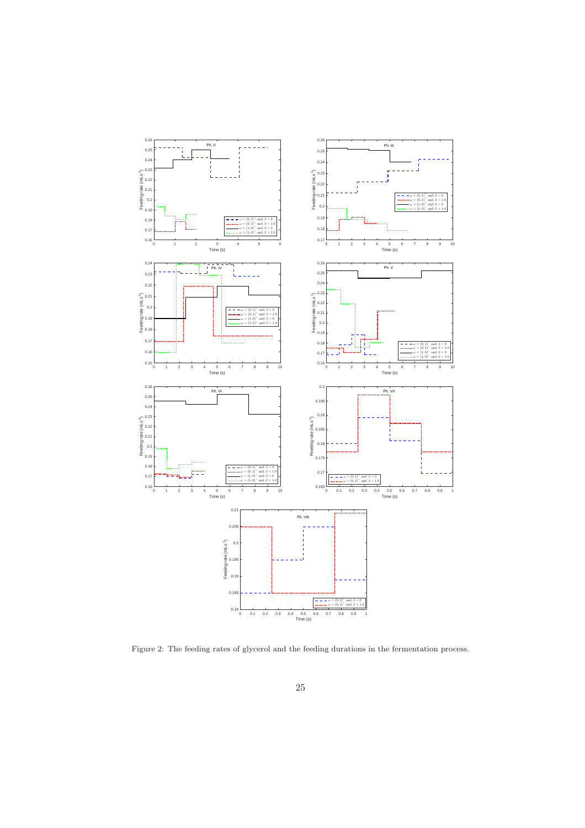

Figure 2: The feeding rates of glycerol and the feeding durations in the fermentation process.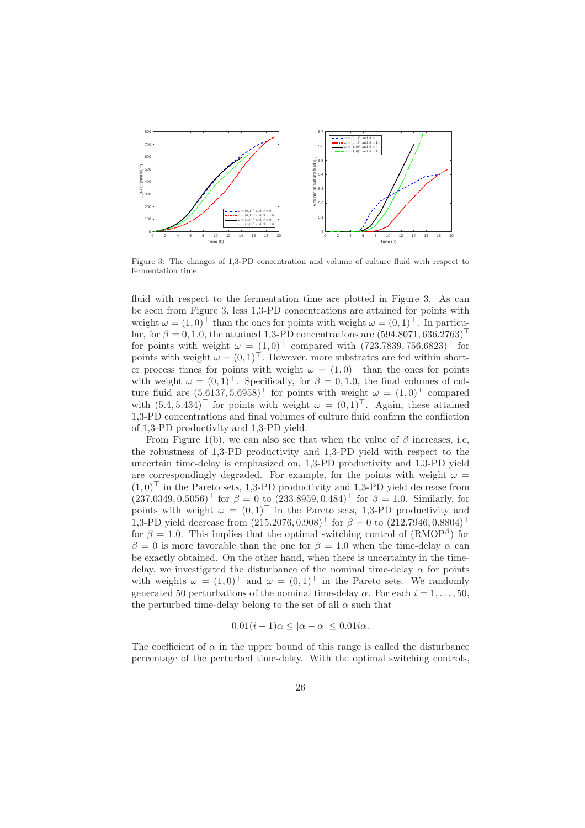

Figure 3: The changes of 1,3-PD concentration and volume of culture fluid with respect to fermentation time.

fluid with respect to the fermentation time are plotted in Figure 3. As can be seen from Figure 3, less 1,3-PD concentrations are attained for points with weight  $\omega = (1, 0)^\top$  than the ones for points with weight  $\omega = (0, 1)^\top$ . In particular, for  $\beta = 0, 1.0$ , the attained 1,3-PD concentrations are  $(594.8071, 636.2763)$ <sup>⊤</sup> for points with weight  $\omega = (1, 0)^\top$  compared with  $(723.7839, 756.6823)^\top$  for points with weight  $\omega = (0, 1)^\top$ . However, more substrates are fed within shorter process times for points with weight  $\omega = (1, 0)^T$  than the ones for points with weight  $\omega = (0, 1)^{\top}$ . Specifically, for  $\beta = 0, 1.0$ , the final volumes of culture fluid are  $(5.6137, 5.6958)^\top$  for points with weight  $\omega = (1, 0)^\top$  compared with  $(5.4, 5.434)^\top$  for points with weight  $\omega = (0, 1)^\top$ . Again, these attained 1,3-PD concentrations and final volumes of culture fluid confirm the confliction of 1,3-PD productivity and 1,3-PD yield.

From Figure 1(b), we can also see that when the value of  $\beta$  increases, i.e, the robustness of 1,3-PD productivity and 1,3-PD yield with respect to the uncertain time-delay is emphasized on, 1,3-PD productivity and 1,3-PD yield are correspondingly degraded. For example, for the points with weight  $\omega =$  $(1,0)^\top$  in the Pareto sets, 1,3-PD productivity and 1,3-PD yield decrease from  $(237.0349, 0.5056)$ <sup>T</sup> for  $\beta = 0$  to  $(233.8959, 0.484)$ <sup>T</sup> for  $\beta = 1.0$ . Similarly, for points with weight  $\omega = (0, 1)^\top$  in the Pareto sets, 1,3-PD productivity and 1,3-PD yield decrease from  $(215.2076, 0.908)^\top$  for  $\beta = 0$  to  $(212.7946, 0.8804)^\top$ for  $\beta = 1.0$ . This implies that the optimal switching control of  $(RMOP^{\beta})$  for β = 0 is more favorable than the one for  $β = 1.0$  when the time-delay α can be exactly obtained. On the other hand, when there is uncertainty in the timedelay, we investigated the disturbance of the nominal time-delay  $\alpha$  for points with weights  $\omega = (1, 0)^\top$  and  $\omega = (0, 1)^\top$  in the Pareto sets. We randomly generated 50 perturbations of the nominal time-delay  $\alpha$ . For each  $i = 1, \ldots, 50$ , the perturbed time-delay belong to the set of all  $\bar{\alpha}$  such that

$$
0.01(i-1)\alpha \leq |\bar{\alpha} - \alpha| \leq 0.01i\alpha.
$$

The coefficient of  $\alpha$  in the upper bound of this range is called the disturbance percentage of the perturbed time-delay. With the optimal switching controls,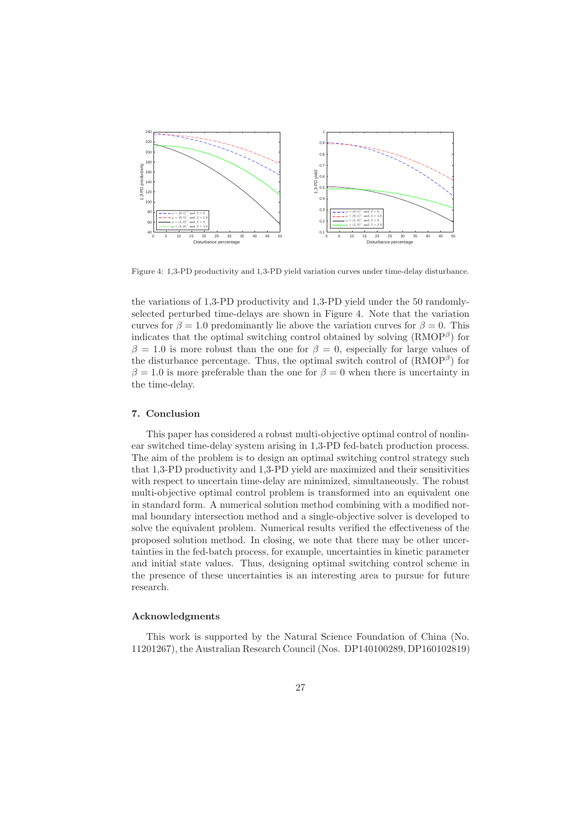

Figure 4: 1,3-PD productivity and 1,3-PD yield variation curves under time-delay disturbance.

the variations of 1,3-PD productivity and 1,3-PD yield under the 50 randomlyselected perturbed time-delays are shown in Figure 4. Note that the variation curves for  $\beta = 1.0$  predominantly lie above the variation curves for  $\beta = 0$ . This indicates that the optimal switching control obtained by solving  $(RMOP^{\beta})$  for  $\beta = 1.0$  is more robust than the one for  $\beta = 0$ , especially for large values of the disturbance percentage. Thus, the optimal switch control of  $(RMOP^{\beta})$  for  $\beta = 1.0$  is more preferable than the one for  $\beta = 0$  when there is uncertainty in the time-delay.

#### 7. Conclusion

This paper has considered a robust multi-objective optimal control of nonlinear switched time-delay system arising in 1,3-PD fed-batch production process. The aim of the problem is to design an optimal switching control strategy such that 1,3-PD productivity and 1,3-PD yield are maximized and their sensitivities with respect to uncertain time-delay are minimized, simultaneously. The robust multi-objective optimal control problem is transformed into an equivalent one in standard form. A numerical solution method combining with a modified normal boundary intersection method and a single-objective solver is developed to solve the equivalent problem. Numerical results verified the effectiveness of the proposed solution method. In closing, we note that there may be other uncertainties in the fed-batch process, for example, uncertainties in kinetic parameter and initial state values. Thus, designing optimal switching control scheme in the presence of these uncertainties is an interesting area to pursue for future research.

#### Acknowledgments

This work is supported by the Natural Science Foundation of China (No. 11201267), the Australian Research Council (Nos. DP140100289, DP160102819)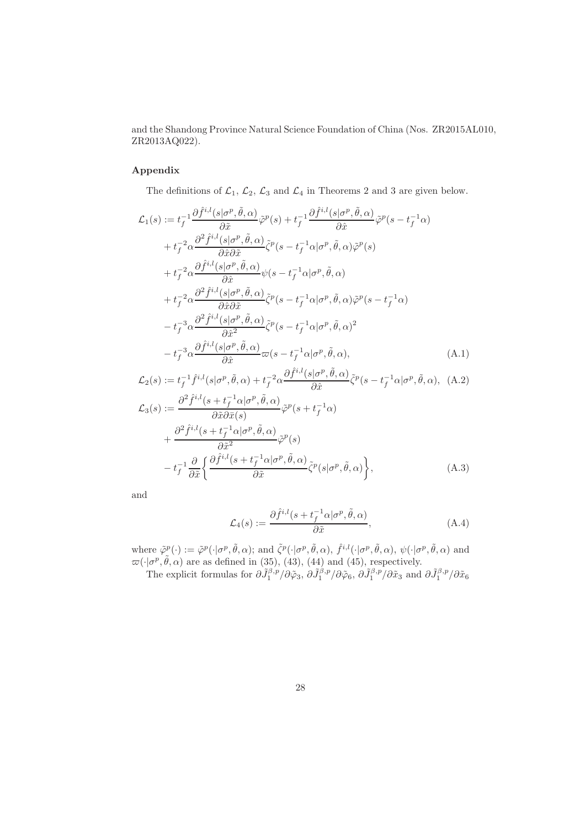and the Shandong Province Natural Science Foundation of China (Nos. ZR2015AL010, ZR2013AQ022).

## Appendix

The definitions of  $\mathcal{L}_1$ ,  $\mathcal{L}_2$ ,  $\mathcal{L}_3$  and  $\mathcal{L}_4$  in Theorems 2 and 3 are given below.

$$
\mathcal{L}_{1}(s) := t_{f}^{-1} \frac{\partial \hat{f}^{i,l}(s|\sigma^{p}, \tilde{\theta}, \alpha)}{\partial \tilde{x}} \tilde{\varphi}^{p}(s) + t_{f}^{-1} \frac{\partial \hat{f}^{i,l}(s|\sigma^{p}, \tilde{\theta}, \alpha)}{\partial \hat{x}} \tilde{\varphi}^{p}(s - t_{f}^{-1}\alpha)
$$
\n
$$
+ t_{f}^{-2} \alpha \frac{\partial^{2} \hat{f}^{i,l}(s|\sigma^{p}, \tilde{\theta}, \alpha)}{\partial \hat{x} \partial \tilde{x}} \tilde{\zeta}^{p}(s - t_{f}^{-1}\alpha|\sigma^{p}, \tilde{\theta}, \alpha) \tilde{\varphi}^{p}(s)
$$
\n
$$
+ t_{f}^{-2} \alpha \frac{\partial \hat{f}^{i,l}(s|\sigma^{p}, \tilde{\theta}, \alpha)}{\partial \hat{x}} \psi(s - t_{f}^{-1}\alpha|\sigma^{p}, \tilde{\theta}, \alpha)
$$
\n
$$
+ t_{f}^{-2} \alpha \frac{\partial^{2} \hat{f}^{i,l}(s|\sigma^{p}, \tilde{\theta}, \alpha)}{\partial \hat{x} \partial \tilde{x}} \tilde{\zeta}^{p}(s - t_{f}^{-1}\alpha|\sigma^{p}, \tilde{\theta}, \alpha) \tilde{\varphi}^{p}(s - t_{f}^{-1}\alpha)
$$
\n
$$
- t_{f}^{-3} \alpha \frac{\partial^{2} \hat{f}^{i,l}(s|\sigma^{p}, \tilde{\theta}, \alpha)}{\partial \hat{x}^{2}} \tilde{\zeta}^{p}(s - t_{f}^{-1}\alpha|\sigma^{p}, \tilde{\theta}, \alpha)^{2}
$$
\n
$$
- t_{f}^{-3} \alpha \frac{\partial \hat{f}^{i,l}(s|\sigma^{p}, \tilde{\theta}, \alpha)}{\partial \hat{x}} \varpi(s - t_{f}^{-1}\alpha|\sigma^{p}, \tilde{\theta}, \alpha), \qquad (A.1)
$$

$$
\mathcal{L}_{2}(s) := t_{f}^{-1} \hat{f}^{i,l}(s | \sigma^{p}, \tilde{\theta}, \alpha) + t_{f}^{-2} \alpha \frac{\partial \hat{f}^{i,l}(s | \sigma^{p}, \tilde{\theta}, \alpha)}{\partial \hat{x}} \tilde{\zeta}^{p}(s - t_{f}^{-1} \alpha | \sigma^{p}, \tilde{\theta}, \alpha), \quad (A.2)
$$
  

$$
\mathcal{L}_{3}(s) := \frac{\partial^{2} \hat{f}^{i,l}(s + t_{f}^{-1} \alpha | \sigma^{p}, \tilde{\theta}, \alpha)}{\partial \tilde{x} \partial \bar{x}(s)} \tilde{\varphi}^{p}(s + t_{f}^{-1} \alpha)
$$
  

$$
+ \frac{\partial^{2} \hat{f}^{i,l}(s + t_{f}^{-1} \alpha | \sigma^{p}, \tilde{\theta}, \alpha)}{\partial \tilde{x}^{2}} \tilde{\varphi}^{p}(s)
$$

$$
- t_f^{-1} \frac{\partial}{\partial \tilde{x}} \left\{ \frac{\partial \hat{f}^{i,l}(s + t_f^{-1} \alpha | \sigma^p, \tilde{\theta}, \alpha)}{\partial \tilde{x}} \tilde{\zeta}^p(s | \sigma^p, \tilde{\theta}, \alpha) \right\},\tag{A.3}
$$

and

$$
\mathcal{L}_4(s) := \frac{\partial \hat{f}^{i,l}(s + t_f^{-1} \alpha | \sigma^p, \tilde{\theta}, \alpha)}{\partial \tilde{x}},
$$
\n(A.4)

where  $\tilde{\varphi}^p(\cdot) := \tilde{\varphi}^p(\cdot | \sigma^p, \tilde{\theta}, \alpha)$ ; and  $\tilde{\zeta}^p(\cdot | \sigma^p, \tilde{\theta}, \alpha)$ ,  $\hat{f}^{i,l}(\cdot | \sigma^p, \tilde{\theta}, \alpha)$ ,  $\psi(\cdot | \sigma^p, \tilde{\theta}, \alpha)$  and  $\varpi(\cdot|\sigma^p, \tilde{\theta}, \alpha)$  are as defined in (35), (43), (44) and (45), respectively.

The explicit formulas for  $\partial \tilde{J}_1^{\beta,p}/\partial \tilde{\varphi}_3$ ,  $\partial \tilde{J}_1^{\beta,p}/\partial \tilde{\varphi}_6$ ,  $\partial \tilde{J}_1^{\beta,p}/\partial \tilde{x}_3$  and  $\partial \tilde{J}_1^{\beta,p}/\partial \tilde{x}_6$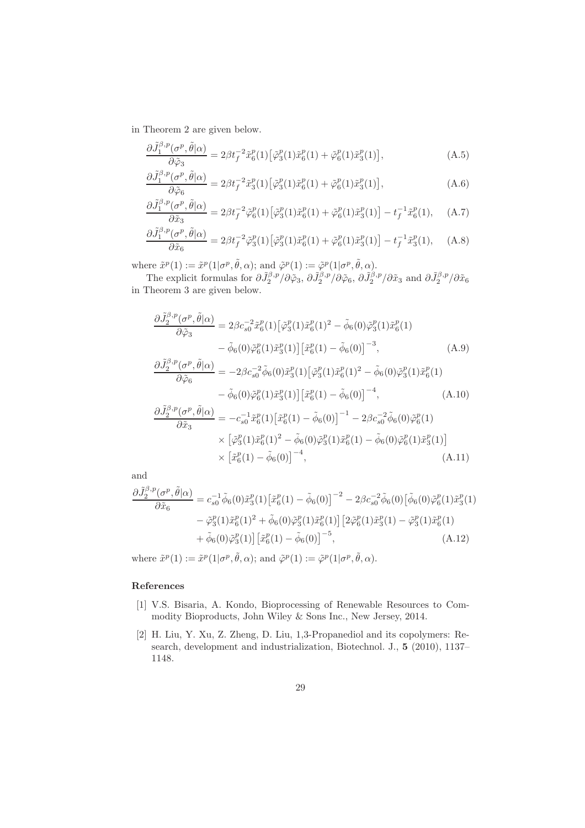in Theorem 2 are given below.

$$
\frac{\partial \tilde{J}_1^{\beta,p}(\sigma^p, \tilde{\theta}|\alpha)}{\partial \tilde{\varphi}_3} = 2\beta t_f^{-2} \tilde{x}_6^p(1) \left[ \tilde{\varphi}_3^p(1) \tilde{x}_6^p(1) + \tilde{\varphi}_6^p(1) \tilde{x}_3^p(1) \right],\tag{A.5}
$$

$$
\frac{\partial \tilde{J}_1^{\beta,p}(\sigma^p, \tilde{\theta}|\alpha)}{\partial \tilde{\varphi}_6} = 2\beta t_f^{-2} \tilde{x}_3^p(1) \left[ \tilde{\varphi}_3^p(1) \tilde{x}_6^p(1) + \tilde{\varphi}_6^p(1) \tilde{x}_3^p(1) \right],\tag{A.6}
$$

$$
\frac{\partial \tilde{J}_1^{\beta, p}(\sigma^p, \tilde{\theta}|\alpha)}{\partial \tilde{x}_3} = 2\beta t_f^{-2} \tilde{\varphi}_6^p(1) \left[ \tilde{\varphi}_3^p(1) \tilde{x}_6^p(1) + \tilde{\varphi}_6^p(1) \tilde{x}_3^p(1) \right] - t_f^{-1} \tilde{x}_6^p(1), \quad (A.7)
$$

$$
\frac{\partial \tilde{J}_1^{\beta, p}(\sigma^p, \tilde{\theta}|\alpha)}{\partial \tilde{x}_6} = 2\beta t_f^{-2} \tilde{\varphi}_3^p(1) \left[ \tilde{\varphi}_3^p(1) \tilde{x}_6^p(1) + \tilde{\varphi}_6^p(1) \tilde{x}_3^p(1) \right] - t_f^{-1} \tilde{x}_3^p(1), \quad (A.8)
$$

where  $\tilde{x}^p(1) := \tilde{x}^p(1|\sigma^p, \tilde{\theta}, \alpha)$ ; and  $\tilde{\varphi}^p(1) := \tilde{\varphi}^p(1|\sigma^p, \tilde{\theta}, \alpha)$ .

The explicit formulas for  $\partial \tilde{J}_2^{\beta,p}/\partial \tilde{\varphi}_3$ ,  $\partial \tilde{J}_2^{\beta,p}/\partial \tilde{\varphi}_6$ ,  $\partial \tilde{J}_2^{\beta,p}/\partial \tilde{x}_3$  and  $\partial \tilde{J}_2^{\beta,p}/\partial \tilde{x}_6$ in Theorem 3 are given below.

$$
\frac{\partial \tilde{J}_{2}^{\beta,p}(\sigma^{p},\tilde{\theta}|\alpha)}{\partial \tilde{\varphi}_{3}} = 2\beta c_{s0}^{-2}\tilde{x}_{6}^{p}(1)\left[\tilde{\varphi}_{3}^{p}(1)\tilde{x}_{6}^{p}(1)^{2} - \tilde{\phi}_{6}(0)\tilde{\varphi}_{3}^{p}(1)\tilde{x}_{6}^{p}(1)\right.\n- \tilde{\phi}_{6}(0)\tilde{\varphi}_{6}^{p}(1)\tilde{x}_{3}^{p}(1)\left[\tilde{x}_{6}^{p}(1) - \tilde{\phi}_{6}(0)\right]^{-3}, \qquad (A.9)
$$
\n
$$
\frac{\partial \tilde{J}_{2}^{\beta,p}(\sigma^{p},\tilde{\theta}|\alpha)}{\partial \tilde{\varphi}_{6}} = -2\beta c_{s0}^{-2}\tilde{\phi}_{6}(0)\tilde{x}_{3}^{p}(1)\left[\tilde{\varphi}_{3}^{p}(1)\tilde{x}_{6}^{p}(1)^{2} - \tilde{\phi}_{6}(0)\tilde{\varphi}_{3}^{p}(1)\tilde{x}_{6}^{p}(1)\right.
$$

$$
- \tilde{\phi}_6(0)\tilde{\varphi}_6^p(1)\tilde{x}_3^p(1) \left[ \tilde{x}_6^p(1) - \tilde{\phi}_6(0) \right]^{-4}, \tag{A.10}
$$

$$
\frac{\partial \tilde{J}_{2}^{\beta,p}(\sigma^{p},\tilde{\theta}|\alpha)}{\partial \tilde{x}_{3}} = -c_{s0}^{-1}\tilde{x}_{6}^{p}(1)\left[\tilde{x}_{6}^{p}(1) - \tilde{\phi}_{6}(0)\right]^{-1} - 2\beta c_{s0}^{-2}\tilde{\phi}_{6}(0)\tilde{\varphi}_{6}^{p}(1)
$$
\n
$$
\times \left[\tilde{\varphi}_{3}^{p}(1)\tilde{x}_{6}^{p}(1)^{2} - \tilde{\phi}_{6}(0)\tilde{\varphi}_{3}^{p}(1)\tilde{x}_{6}^{p}(1) - \tilde{\phi}_{6}(0)\tilde{\varphi}_{6}^{p}(1)\tilde{x}_{3}^{p}(1)\right]
$$
\n
$$
\times \left[\tilde{x}_{6}^{p}(1) - \tilde{\phi}_{6}(0)\right]^{-4},
$$
\n(A.11)

and

$$
\frac{\partial \tilde{J}_{2}^{\beta,p}(\sigma^{p},\tilde{\theta}|\alpha)}{\partial \tilde{x}_{6}} = c_{s0}^{-1} \tilde{\phi}_{6}(0) \tilde{x}_{3}^{p}(1) [\tilde{x}_{6}^{p}(1) - \tilde{\phi}_{6}(0)]^{-2} - 2\beta c_{s0}^{-2} \tilde{\phi}_{6}(0) [\tilde{\phi}_{6}(0) \tilde{\varphi}_{6}^{p}(1) \tilde{x}_{3}^{p}(1) \n- \tilde{\varphi}_{3}^{p}(1) \tilde{x}_{6}^{p}(1)^{2} + \tilde{\phi}_{6}(0) \tilde{\varphi}_{3}^{p}(1) \tilde{x}_{6}^{p}(1)] [2 \tilde{\varphi}_{6}^{p}(1) \tilde{x}_{3}^{p}(1) - \tilde{\varphi}_{3}^{p}(1) \tilde{x}_{6}^{p}(1) \n+ \tilde{\phi}_{6}(0) \tilde{\varphi}_{3}^{p}(1)] [\tilde{x}_{6}^{p}(1) - \tilde{\phi}_{6}(0)]^{-5}, \qquad (A.12)
$$

where  $\tilde{x}^p(1) := \tilde{x}^p(1|\sigma^p, \tilde{\theta}, \alpha)$ ; and  $\tilde{\varphi}^p(1) := \tilde{\varphi}^p(1|\sigma^p, \tilde{\theta}, \alpha)$ .

## References

- [1] V.S. Bisaria, A. Kondo, Bioprocessing of Renewable Resources to Commodity Bioproducts, John Wiley & Sons Inc., New Jersey, 2014.
- [2] H. Liu, Y. Xu, Z. Zheng, D. Liu, 1,3-Propanediol and its copolymers: Research, development and industrialization, Biotechnol. J., 5 (2010), 1137– 1148.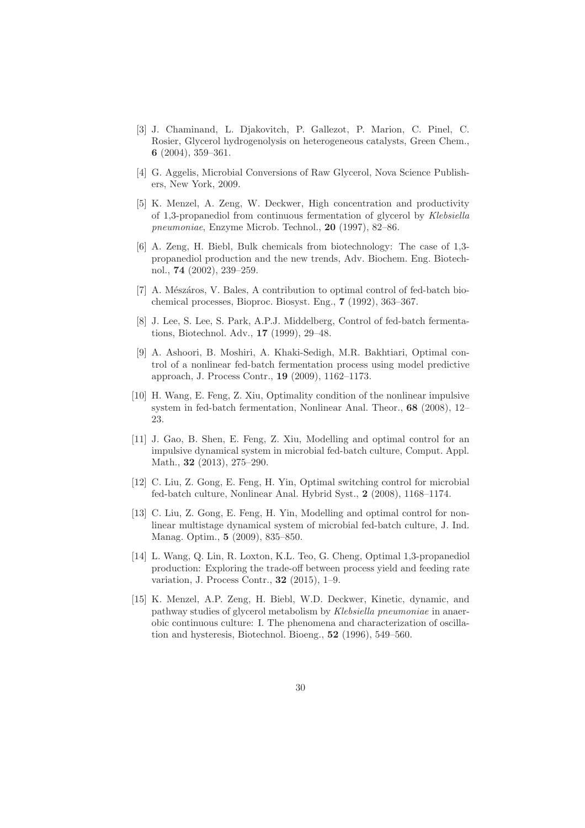- [3] J. Chaminand, L. Djakovitch, P. Gallezot, P. Marion, C. Pinel, C. Rosier, Glycerol hydrogenolysis on heterogeneous catalysts, Green Chem., 6 (2004), 359–361.
- [4] G. Aggelis, Microbial Conversions of Raw Glycerol, Nova Science Publishers, New York, 2009.
- [5] K. Menzel, A. Zeng, W. Deckwer, High concentration and productivity of 1,3-propanediol from continuous fermentation of glycerol by Klebsiella pneumoniae, Enzyme Microb. Technol., 20 (1997), 82–86.
- [6] A. Zeng, H. Biebl, Bulk chemicals from biotechnology: The case of 1,3 propanediol production and the new trends, Adv. Biochem. Eng. Biotechnol., 74 (2002), 239–259.
- $[7]$  A. Mészáros, V. Bales, A contribution to optimal control of fed-batch biochemical processes, Bioproc. Biosyst. Eng., 7 (1992), 363–367.
- [8] J. Lee, S. Lee, S. Park, A.P.J. Middelberg, Control of fed-batch fermentations, Biotechnol. Adv., 17 (1999), 29–48.
- [9] A. Ashoori, B. Moshiri, A. Khaki-Sedigh, M.R. Bakhtiari, Optimal control of a nonlinear fed-batch fermentation process using model predictive approach, J. Process Contr., 19 (2009), 1162–1173.
- [10] H. Wang, E. Feng, Z. Xiu, Optimality condition of the nonlinear impulsive system in fed-batch fermentation, Nonlinear Anal. Theor., 68 (2008), 12– 23.
- [11] J. Gao, B. Shen, E. Feng, Z. Xiu, Modelling and optimal control for an impulsive dynamical system in microbial fed-batch culture, Comput. Appl. Math., **32** (2013), 275-290.
- [12] C. Liu, Z. Gong, E. Feng, H. Yin, Optimal switching control for microbial fed-batch culture, Nonlinear Anal. Hybrid Syst., 2 (2008), 1168–1174.
- [13] C. Liu, Z. Gong, E. Feng, H. Yin, Modelling and optimal control for nonlinear multistage dynamical system of microbial fed-batch culture, J. Ind. Manag. Optim., 5 (2009), 835–850.
- [14] L. Wang, Q. Lin, R. Loxton, K.L. Teo, G. Cheng, Optimal 1,3-propanediol production: Exploring the trade-off between process yield and feeding rate variation, J. Process Contr., 32 (2015), 1–9.
- [15] K. Menzel, A.P. Zeng, H. Biebl, W.D. Deckwer, Kinetic, dynamic, and pathway studies of glycerol metabolism by Klebsiella pneumoniae in anaerobic continuous culture: I. The phenomena and characterization of oscillation and hysteresis, Biotechnol. Bioeng., 52 (1996), 549–560.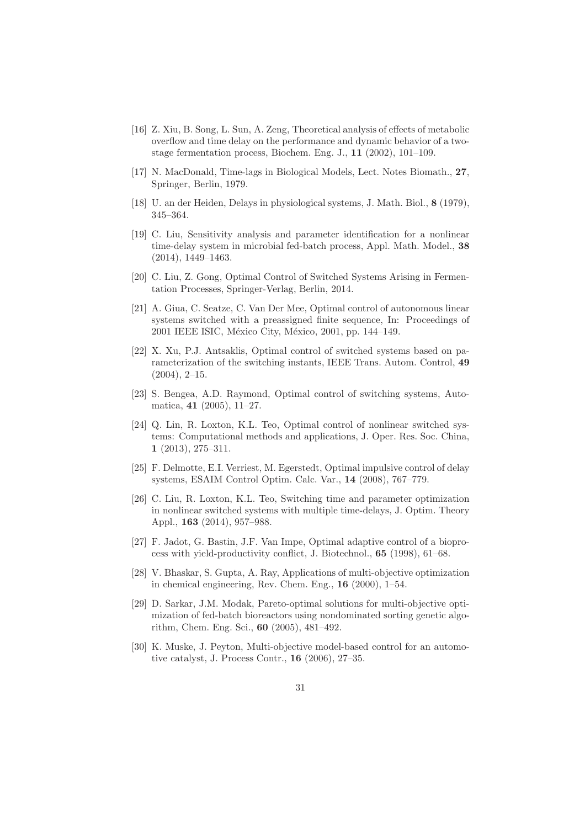- [16] Z. Xiu, B. Song, L. Sun, A. Zeng, Theoretical analysis of effects of metabolic overflow and time delay on the performance and dynamic behavior of a twostage fermentation process, Biochem. Eng. J., 11 (2002), 101–109.
- [17] N. MacDonald, Time-lags in Biological Models, Lect. Notes Biomath., 27, Springer, Berlin, 1979.
- [18] U. an der Heiden, Delays in physiological systems, J. Math. Biol., 8 (1979), 345–364.
- [19] C. Liu, Sensitivity analysis and parameter identification for a nonlinear time-delay system in microbial fed-batch process, Appl. Math. Model., 38 (2014), 1449–1463.
- [20] C. Liu, Z. Gong, Optimal Control of Switched Systems Arising in Fermentation Processes, Springer-Verlag, Berlin, 2014.
- [21] A. Giua, C. Seatze, C. Van Der Mee, Optimal control of autonomous linear systems switched with a preassigned finite sequence, In: Proceedings of 2001 IEEE ISIC, México City, México, 2001, pp. 144–149.
- [22] X. Xu, P.J. Antsaklis, Optimal control of switched systems based on parameterization of the switching instants, IEEE Trans. Autom. Control, 49 (2004), 2–15.
- [23] S. Bengea, A.D. Raymond, Optimal control of switching systems, Automatica, 41 (2005), 11–27.
- [24] Q. Lin, R. Loxton, K.L. Teo, Optimal control of nonlinear switched systems: Computational methods and applications, J. Oper. Res. Soc. China, 1 (2013), 275–311.
- [25] F. Delmotte, E.I. Verriest, M. Egerstedt, Optimal impulsive control of delay systems, ESAIM Control Optim. Calc. Var., 14 (2008), 767–779.
- [26] C. Liu, R. Loxton, K.L. Teo, Switching time and parameter optimization in nonlinear switched systems with multiple time-delays, J. Optim. Theory Appl., 163 (2014), 957–988.
- [27] F. Jadot, G. Bastin, J.F. Van Impe, Optimal adaptive control of a bioprocess with yield-productivity conflict, J. Biotechnol., 65 (1998), 61–68.
- [28] V. Bhaskar, S. Gupta, A. Ray, Applications of multi-objective optimization in chemical engineering, Rev. Chem. Eng., 16 (2000), 1–54.
- [29] D. Sarkar, J.M. Modak, Pareto-optimal solutions for multi-objective optimization of fed-batch bioreactors using nondominated sorting genetic algorithm, Chem. Eng. Sci., 60 (2005), 481–492.
- [30] K. Muske, J. Peyton, Multi-objective model-based control for an automotive catalyst, J. Process Contr., 16 (2006), 27–35.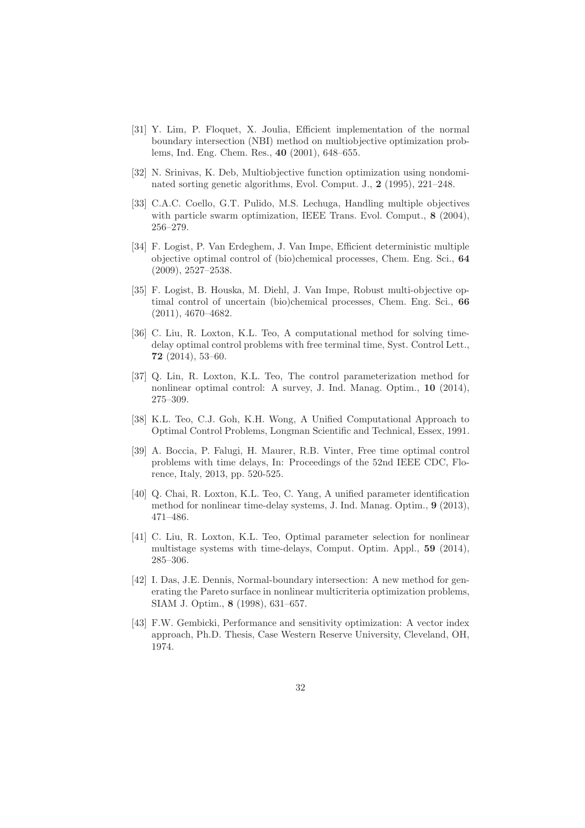- [31] Y. Lim, P. Floquet, X. Joulia, Efficient implementation of the normal boundary intersection (NBI) method on multiobjective optimization problems, Ind. Eng. Chem. Res., 40 (2001), 648–655.
- [32] N. Srinivas, K. Deb, Multiobjective function optimization using nondominated sorting genetic algorithms, Evol. Comput. J., 2 (1995), 221–248.
- [33] C.A.C. Coello, G.T. Pulido, M.S. Lechuga, Handling multiple objectives with particle swarm optimization, IEEE Trans. Evol. Comput., 8 (2004), 256–279.
- [34] F. Logist, P. Van Erdeghem, J. Van Impe, Efficient deterministic multiple objective optimal control of (bio)chemical processes, Chem. Eng. Sci., 64 (2009), 2527–2538.
- [35] F. Logist, B. Houska, M. Diehl, J. Van Impe, Robust multi-objective optimal control of uncertain (bio)chemical processes, Chem. Eng. Sci., 66 (2011), 4670–4682.
- [36] C. Liu, R. Loxton, K.L. Teo, A computational method for solving timedelay optimal control problems with free terminal time, Syst. Control Lett., 72 (2014), 53–60.
- [37] Q. Lin, R. Loxton, K.L. Teo, The control parameterization method for nonlinear optimal control: A survey, J. Ind. Manag. Optim., 10 (2014), 275–309.
- [38] K.L. Teo, C.J. Goh, K.H. Wong, A Unified Computational Approach to Optimal Control Problems, Longman Scientific and Technical, Essex, 1991.
- [39] A. Boccia, P. Falugi, H. Maurer, R.B. Vinter, Free time optimal control problems with time delays, In: Proceedings of the 52nd IEEE CDC, Florence, Italy, 2013, pp. 520-525.
- [40] Q. Chai, R. Loxton, K.L. Teo, C. Yang, A unified parameter identification method for nonlinear time-delay systems, J. Ind. Manag. Optim., 9 (2013), 471–486.
- [41] C. Liu, R. Loxton, K.L. Teo, Optimal parameter selection for nonlinear multistage systems with time-delays, Comput. Optim. Appl., 59 (2014), 285–306.
- [42] I. Das, J.E. Dennis, Normal-boundary intersection: A new method for generating the Pareto surface in nonlinear multicriteria optimization problems, SIAM J. Optim., 8 (1998), 631–657.
- [43] F.W. Gembicki, Performance and sensitivity optimization: A vector index approach, Ph.D. Thesis, Case Western Reserve University, Cleveland, OH, 1974.